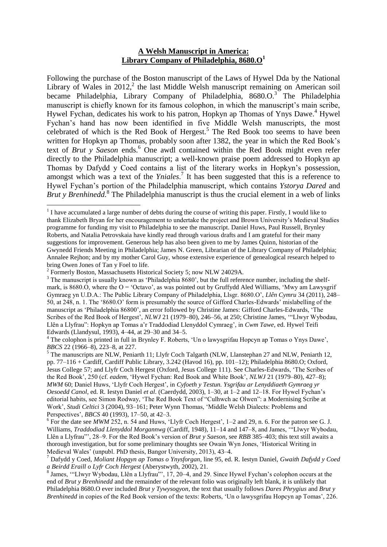### **A Welsh Manuscript in America: Library Company of Philadelphia, 8680.O<sup>1</sup>**

Following the purchase of the Boston manuscript of the Laws of Hywel Dda by the National Library of Wales in  $2012$ , the last Middle Welsh manuscript remaining on American soil became Philadelphia, Library Company of Philadelphia, 8680.O.<sup>3</sup> The Philadelphia manuscript is chiefly known for its famous colophon, in which the manuscript's main scribe, Hywel Fychan, dedicates his work to his patron, Hopkyn ap Thomas of Ynys Dawe.<sup>4</sup> Hywel Fychan's hand has now been identified in five Middle Welsh manuscripts, the most celebrated of which is the Red Book of Hergest.<sup>5</sup> The Red Book too seems to have been written for Hopkyn ap Thomas, probably soon after 1382, the year in which the Red Book's text of *Brut y Saeson* ends.<sup>6</sup> One awdl contained within the Red Book might even refer directly to the Philadelphia manuscript; a well-known praise poem addressed to Hopkyn ap Thomas by Dafydd y Coed contains a list of the literary works in Hopkyn's possession, amongst which was a text of the *Yniales*.<sup>7</sup> It has been suggested that this is a reference to Hywel Fychan's portion of the Philadelphia manuscript, which contains *Ystorya Dared* and Brut y Brenhinedd.<sup>8</sup> The Philadelphia manuscript is thus the crucial element in a web of links

<sup>4</sup> The colophon is printed in full in Brynley F. Roberts, 'Un o lawysgrifau Hopcyn ap Tomas o Ynys Dawe', *BBCS* 22 (1966–8), 223–8, at 227.

<sup>5</sup> The manuscripts are NLW, Peniarth 11; Llyfr Coch Talgarth (NLW, Llanstephan 27 and NLW, Peniarth 12, pp. 77–116 + Cardiff, Cardiff Public Library, 3.242 (Havod 16), pp. 101–12); Philadelphia 8680.O; Oxford, Jesus College 57; and Llyfr Coch Hergest (Oxford, Jesus College 111). See Charles-Edwards, 'The Scribes of the Red Book', 250 (cf. *eadem*, 'Hywel Fychan: Red Book and White Book', *NLWJ* 21 (1979–80), 427–8); *MWM* 60; Daniel Huws, 'Llyfr Coch Hergest', in *Cyfoeth y Testun. Ysgrifau ar Lenyddiaeth Gymraeg yr Oesoedd Canol*, ed. R. Iestyn Daniel *et al*. (Caerdydd, 2003), 1–30, at 1–2 and 12–18. For Hywel Fychan's editorial habits, see Simon Rodway, 'The Red Book Text of "Culhwch ac Olwen": a Modernising Scribe at Work', *Studi Celtici* 3 (2004), 93–161; Peter Wynn Thomas, 'Middle Welsh Dialects: Problems and Perspectives', *BBCS* 40 (1993), 17–50, at 42–3.

<sup>&</sup>lt;sup>1</sup> I have accumulated a large number of debts during the course of writing this paper. Firstly, I would like to thank Elizabeth Bryan for her encouragement to undertake the project and Brown University's Medieval Studies programme for funding my visit to Philadelphia to see the manuscript. Daniel Huws, Paul Russell, Brynley Roberts, and Natalia Petrovskaia have kindly read through various drafts and I am grateful for their many suggestions for improvement. Generous help has also been given to me by James Quinn, historian of the Gwynedd Friends Meeting in Philadelphia; James N. Green, Librarian of the Library Company of Philadelphia; Annalee Rejhon; and by my mother Carol Guy, whose extensive experience of genealogical research helped to bring Owen Jones of Tan y Foel to life.

<sup>&</sup>lt;sup>2</sup> Formerly Boston, Massachusetts Historical Society 5; now NLW 24029A.

<sup>&</sup>lt;sup>3</sup> The manuscript is usually known as 'Philadelphia 8680', but the full reference number, including the shelfmark, is 8680.O, where the  $O = 'Octavo'$ , as was pointed out by Gruffydd Aled Williams, 'Mwy am Lawysgrif Gymraeg yn U.D.A.: The Public Library Company of Philadelphia, Llsgr. 8680.O', *Llên Cymru* 34 (2011), 248– 50, at 248, n. 1. The '8680.O' form is presumably the source of Gifford Charles-Edwards' mislabelling of the manuscript as 'Philadelphia 86800', an error followed by Christine James: Gifford Charles-Edwards, 'The Scribes of the Red Book of Hergest', *NLWJ* 21 (1979–80), 246–56, at 250; Christine James, '"Llwyr Wybodau, Llên a Llyfrau": Hopkyn ap Tomas a'r Traddodiad Llenyddol Cymraeg', in *Cwm Tawe*, ed. Hywel Teifi Edwards (Llandysul, 1993), 4–44, at 29–30 and 34–5.

 $6$  For the date see *MWM* 252, n. 54 and Huws, 'Llyfr Coch Hergest',  $1-2$  and 29, n. 6. For the patron see G. J. Williams, *Traddodiad Llenyddol Morgannwg* (Cardiff, 1948), 11–14 and 147–8, and James, '"Llwyr Wybodau, Llên a Llyfrau"', 28–9. For the Red Book's version of *Brut y Saeson*, see *RBB* 385–403; this text still awaits a thorough investigation, but for some preliminary thoughts see Owain Wyn Jones, 'Historical Writing in Medieval Wales' (unpubl. PhD thesis, Bangor University, 2013), 43–4.

<sup>7</sup> Dafydd y Coed, *Moliant Hopgyn ap Tomas o Ynysforgan*, line 95, ed. R. Iestyn Daniel, *Gwaith Dafydd y Coed a Beirdd Eraill o Lyfr Coch Hergest* (Aberystwyth, 2002), 21.

<sup>&</sup>lt;sup>8</sup> James, "Llwyr Wybodau, Llên a Llyfrau"', 17, 20–4, and 29. Since Hywel Fychan's colophon occurs at the end of *Brut y Brenhinedd* and the remainder of the relevant folio was originally left blank, it is unlikely that Philadelphia 8680.O ever included *Brut y Tywysogyon*, the text that usually follows *Dares Phrygius* and *Brut y Brenhinedd* in copies of the Red Book version of the texts: Roberts, 'Un o lawysgrifau Hopcyn ap Tomas', 226.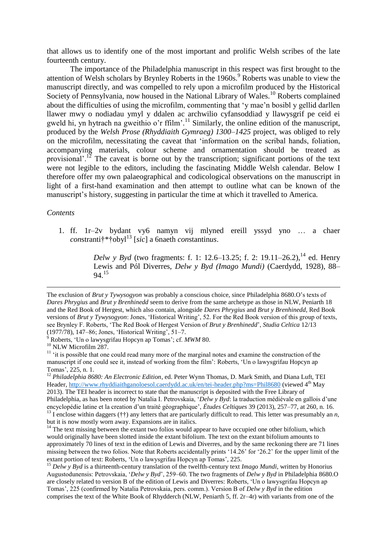that allows us to identify one of the most important and prolific Welsh scribes of the late fourteenth century.

The importance of the Philadelphia manuscript in this respect was first brought to the attention of Welsh scholars by Brynley Roberts in the 1960s.<sup>9</sup> Roberts was unable to view the manuscript directly, and was compelled to rely upon a microfilm produced by the Historical Society of Pennsylvania, now housed in the National Library of Wales.<sup>10</sup> Roberts complained about the difficulties of using the microfilm, commenting that 'y mae'n bosibl y gellid darllen llawer mwy o nodiadau ymyl y ddalen ac archwilio cyfansoddiad y llawysgrif pe ceid ei gweld hi, yn hytrach na gweithio o'r ffilm'. <sup>11</sup> Similarly, the online edition of the manuscript, produced by the *Welsh Prose (Rhyddiaith Gymraeg) 1300–1425* project, was obliged to rely on the microfilm, necessitating the caveat that 'information on the scribal hands, foliation, accompanying materials, colour scheme and ornamentation should be treated as provisional'.<sup>12</sup> The caveat is borne out by the transcription; significant portions of the text were not legible to the editors, including the fascinating Middle Welsh calendar. Below I therefore offer my own palaeographical and codicological observations on the manuscript in light of a first-hand examination and then attempt to outline what can be known of the manuscript's history, suggesting in particular the time at which it travelled to America.

#### *Contents*

1. ff. 1r–2v bydant vy6 namyn vij mlyned ereill yssyd yno … a chaer *con*stranti†\*†obyl<sup>13</sup> [*sic*] a 6naeth *con*stantin*us*.

> *Delw y Byd* (two fragments: f. 1: 12.6–13.25; f. 2: 19.11–26.2),<sup>14</sup> ed. Henry Lewis and Pól Diverres, *Delw y Byd (Imago Mundi)* (Caerdydd, 1928), 88– 94.<sup>15</sup>

9 Roberts, 'Un o lawysgrifau Hopcyn ap Tomas'; cf. *MWM* 80.

The exclusion of *Brut y Tywysogyon* was probably a conscious choice, since Philadelphia 8680.O's texts of *Dares Phrygius* and *Brut y Brenhinedd* seem to derive from the same archetype as those in NLW, Peniarth 18 and the Red Book of Hergest, which also contain, alongside *Dares Phrygius* and *Brut y Brenhinedd*, Red Book versions of *Brut y Tywysogyon*: Jones, 'Historical Writing', 52. For the Red Book version of this group of texts, see Brynley F. Roberts, 'The Red Book of Hergest Version of *Brut y Brenhinedd*', *Studia Celtica* 12/13 (1977/78), 147–86; Jones, 'Historical Writing', 51–7.

<sup>&</sup>lt;sup>10</sup> NLW Microfilm 287.

 $11$  'it is possible that one could read many more of the marginal notes and examine the construction of the manuscript if one could see it, instead of working from the film': Roberts, 'Un o lawysgrifau Hopcyn ap Tomas', 225, n. 1.

<sup>&</sup>lt;sup>12</sup> Philadelphia 8680: An Electronic Edition, ed. Peter Wynn Thomas, D. Mark Smith, and Diana Luft, TEI Header,<http://www.rhyddiaithganoloesol.caerdydd.ac.uk/en/tei-header.php?ms=Phil8680>(viewed 4<sup>th</sup> May 2013). The TEI header is incorrect to state that the manuscript is deposited with the Free Library of Philadelphia, as has been noted by Natalia I. Petrovskaia, '*Delw y Byd*: la traduction médiévale en gallois d'une encyclopédie latine et la creation d'un traité géographique', *Études Celtiques* 39 (2013), 257–77, at 260, n. 16.  $^{13}$  I enclose within daggers ( $\uparrow\uparrow$ ) any letters that are particularly difficult to read. This letter was presumably an *n*, but it is now mostly worn away. Expansions are in italics.

<sup>&</sup>lt;sup>14</sup> The text missing between the extant two folios would appear to have occupied one other bifolium, which would originally have been slotted inside the extant bifolium. The text on the extant bifolium amounts to approximately 70 lines of text in the edition of Lewis and Diverres, and by the same reckoning there are 71 lines missing between the two folios. Note that Roberts accidentally prints '14.26' for '26.2' for the upper limit of the extant portion of text: Roberts, 'Un o lawysgrifau Hopcyn ap Tomas', 225.

<sup>&</sup>lt;sup>15</sup> *Delw y Byd* is a thirteenth-century translation of the twelfth-century text *Imago Mundi*, written by Honorius Augustodunensis: Petrovskaia, '*Delw y Byd*', 259–60. The two fragments of *Delw y Byd* in Philadelphia 8680.O are closely related to version B of the edition of Lewis and Diverres: Roberts, 'Un o lawysgrifau Hopcyn ap Tomas', 225 (confirmed by Natalia Petrovskaia, pers. comm.). Version B of *Delw y Byd* in the edition comprises the text of the White Book of Rhydderch (NLW, Peniarth 5, ff. 2r–4r) with variants from one of the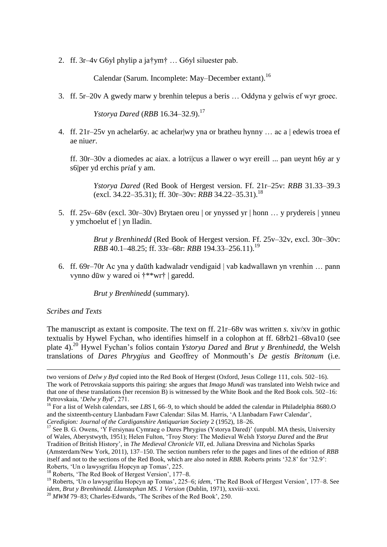2. ff. 3r–4v G6yl phylip a ja†ym† … G6yl siluester pab.

Calendar (Sarum. Incomplete: May–December extant).<sup>16</sup>

3. ff. 5r–20v A gwedy marw y brenhin telepus a beris … Oddyna y gelwis ef wyr groec.

*Ystorya Dared* (*RBB* 16.34–32.9).<sup>17</sup>

4. ff. 21r–25v yn achelar6y. ac achelar|wy yna or bratheu hynny … ac a | edewis troea ef ae niu*er*.

ff. 30r–30v a diomedes ac aiax. a lotri|cus a llawer o wyr ereill ... pan ueynt h6y ar y s6|per yd erchis p*ri*af y am.

*Ystorya Dared* (Red Book of Hergest version. Ff. 21r–25v: *RBB* 31.33–39.3 (excl. 34.22–35.31); ff. 30r–30v: *RBB* 34.22–35.31).<sup>18</sup>

5. ff. 25v–68v (excl. 30r–30v) Brytaen oreu | or ynyssed yr | honn … y prydereis | ynneu y ymchoelut ef | yn lladin.

> *Brut y Brenhinedd* (Red Book of Hergest version. Ff. 25v–32v, excl. 30r–30v: *RBB* 40.1–48.25; ff. 33r–68r: *RBB* 194.33–256.11).<sup>19</sup>

6. ff. 69r–70r Ac yna y daūth kadwaladr vendigaid | vab kadwallawn yn vrenhin … pann vynno dūw y wared oi †\*\*wr† | garedd.

*Brut y Brenhinedd* (summary).

# *Scribes and Texts*

The manuscript as extant is composite. The text on ff. 21r–68v was written *s.* xiv/xv in gothic textualis by Hywel Fychan, who identifies himself in a colophon at ff. 68rb21–68va10 (see plate 4).<sup>20</sup> Hywel Fychan's folios contain *Ystorya Dared* and *Brut y Brenhinedd*, the Welsh translations of *Dares Phrygius* and Geoffrey of Monmouth's *De gestis Britonum* (i.e.

two versions of *Delw y Byd* copied into the Red Book of Hergest (Oxford, Jesus College 111, cols. 502–16). The work of Petrovskaia supports this pairing: she argues that *Imago Mundi* was translated into Welsh twice and that one of these translations (her recension B) is witnessed by the White Book and the Red Book cols. 502–16: Petrovskaia, '*Delw y Byd*', 271.

<sup>&</sup>lt;sup>16</sup> For a list of Welsh calendars, see *LBS* I, 66–9, to which should be added the calendar in Philadelphia 8680.O and the sixteenth-century Llanbadarn Fawr Calendar: Silas M. Harris, 'A Llanbadarn Fawr Calendar', *Ceredigion: Journal of the Cardiganshire Antiquarian Society* 2 (1952), 18–26.

 $17$  See B. G. Owens, 'Y Fersiynau Cymraeg o Dares Phrygius (Ystorya Dared)' (unpubl. MA thesis, University of Wales, Aberystwyth, 1951); Helen Fulton, 'Troy Story: The Medieval Welsh *Ystorya Dared* and the *Brut*  Tradition of British History', in *The Medieval Chronicle VII*, ed. Juliana Dresvina and Nicholas Sparks (Amsterdam/New York, 2011), 137–150. The section numbers refer to the pages and lines of the edition of *RBB*  itself and not to the sections of the Red Book, which are also noted in *RBB*. Roberts prints '32.8' for '32.9': Roberts, 'Un o lawysgrifau Hopcyn ap Tomas', 225.

<sup>&</sup>lt;sup>18</sup> Roberts. 'The Red Book of Hergest Version', 177–8.

<sup>19</sup> Roberts, 'Un o lawysgrifau Hopcyn ap Tomas', 225–6; *idem*, 'The Red Book of Hergest Version', 177–8. See *idem*, *Brut y Brenhinedd. Llanstephan MS. 1 Version* (Dublin, 1971), xxviii–xxxi.

<sup>&</sup>lt;sup>20</sup> *MWM* 79–83; Charles-Edwards, 'The Scribes of the Red Book', 250.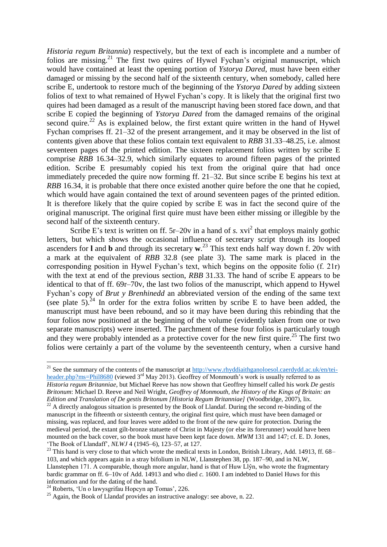*Historia regum Britannia*) respectively, but the text of each is incomplete and a number of folios are missing.<sup>21</sup> The first two quires of Hywel Fychan's original manuscript, which would have contained at least the opening portion of *Ystorya Dared*, must have been either damaged or missing by the second half of the sixteenth century, when somebody, called here scribe E, undertook to restore much of the beginning of the *Ystorya Dared* by adding sixteen folios of text to what remained of Hywel Fychan's copy. It is likely that the original first two quires had been damaged as a result of the manuscript having been stored face down, and that scribe E copied the beginning of *Ystorya Dared* from the damaged remains of the original second quire.<sup>22</sup> As is explained below, the first extant quire written in the hand of Hywel Fychan comprises ff. 21–32 of the present arrangement, and it may be observed in the list of contents given above that these folios contain text equivalent to *RBB* 31.33–48.25, i.e. almost seventeen pages of the printed edition. The sixteen replacement folios written by scribe E comprise *RBB* 16.34–32.9, which similarly equates to around fifteen pages of the printed edition. Scribe E presumably copied his text from the original quire that had once immediately preceded the quire now forming ff. 21–32. But since scribe E begins his text at *RBB* 16.34, it is probable that there once existed another quire before the one that he copied, which would have again contained the text of around seventeen pages of the printed edition. It is therefore likely that the quire copied by scribe E was in fact the second quire of the original manuscript. The original first quire must have been either missing or illegible by the second half of the sixteenth century.

Scribe E's text is written on ff.  $5r-20v$  in a hand of *s*.  $xvi^2$  that employs mainly gothic letters, but which shows the occasional influence of secretary script through its looped ascenders for **l** and **b** and through its secretary **w**. <sup>23</sup> This text ends half way down f. 20v with a mark at the equivalent of *RBB* 32.8 (see plate 3). The same mark is placed in the corresponding position in Hywel Fychan's text, which begins on the opposite folio (f. 21r) with the text at end of the previous section, *RBB* 31.33. The hand of scribe E appears to be identical to that of ff. 69r–70v, the last two folios of the manuscript, which append to Hywel Fychan's copy of *Brut y Brenhinedd* an abbreviated version of the ending of the same text (see plate 5).<sup>24</sup> In order for the extra folios written by scribe E to have been added, the manuscript must have been rebound, and so it may have been during this rebinding that the four folios now positioned at the beginning of the volume (evidently taken from one or two separate manuscripts) were inserted. The parchment of these four folios is particularly tough and they were probably intended as a protective cover for the new first quire.<sup>25</sup> The first two folios were certainly a part of the volume by the seventeenth century, when a cursive hand

<sup>&</sup>lt;sup>21</sup> See the summary of the contents of the manuscript at [http://www.rhyddiaithganoloesol.caerdydd.ac.uk/en/tei](http://www.rhyddiaithganoloesol.caerdydd.ac.uk/en/tei-header.php?ms=Phil8680)[header.php?ms=Phil8680](http://www.rhyddiaithganoloesol.caerdydd.ac.uk/en/tei-header.php?ms=Phil8680) (viewed 3<sup>rd</sup> May 2013). Geoffrey of Monmouth's work is usually referred to as *Historia regum Britanniae*, but Michael Reeve has now shown that Geoffrey himself called his work *De gestis Britonum*: Michael D. Reeve and Neil Wright, *Geoffrey of Monmouth, the History of the Kings of Britain: an Edition and Translation of De gestis Britonum [Historia Regum Britanniae]* (Woodbridge, 2007), lix.

 $^{22}$  A directly analogous situation is presented by the Book of Llandaf. During the second re-binding of the manuscript in the fifteenth or sixteenth century, the original first quire, which must have been damaged or missing, was replaced, and four leaves were added to the front of the new quire for protection. During the medieval period, the extant gilt-bronze statuette of Christ in Majesty (or else its forerunner) would have been mounted on the back cover, so the book must have been kept face down. *MWM* 131 and 147; cf. E. D. Jones, 'The Book of Llandaff', *NLWJ* 4 (1945–6), 123–57, at 127.

<sup>&</sup>lt;sup>23</sup> This hand is very close to that which wrote the medical texts in London, British Library, Add. 14913, ff. 68– 103, and which appears again in a stray bifolium in NLW, Llanstephen 38, pp. 187–90, and in NLW, Llanstephen 171. A comparable, though more angular, hand is that of Huw Llŷn, who wrote the fragmentary bardic grammar on ff. 6–10v of Add. 14913 and who died *c.* 1600. I am indebted to Daniel Huws for this information and for the dating of the hand.

<sup>24</sup> Roberts, 'Un o lawysgrifau Hopcyn ap Tomas', 226.

<sup>&</sup>lt;sup>25</sup> Again, the Book of Llandaf provides an instructive analogy: see above, n. 22.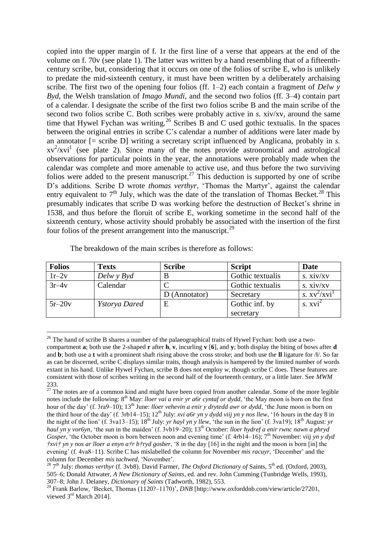copied into the upper margin of f. 1r the first line of a verse that appears at the end of the volume on f. 70v (see plate 1). The latter was written by a hand resembling that of a fifteenthcentury scribe, but, considering that it occurs on one of the folios of scribe E, who is unlikely to predate the mid-sixteenth century, it must have been written by a deliberately archaising scribe. The first two of the opening four folios (ff. 1–2) each contain a fragment of *Delw y Byd*, the Welsh translation of *Imago Mundi*, and the second two folios (ff. 3–4) contain part of a calendar. I designate the scribe of the first two folios scribe B and the main scribe of the second two folios scribe C. Both scribes were probably active in *s.* xiv/xv, around the same time that Hywel Fychan was writing.<sup>26</sup> Scribes B and C used gothic textualis. In the spaces between the original entries in scribe C's calendar a number of additions were later made by an annotator [= scribe D] writing a secretary script influenced by Anglicana, probably in *s.*   $xv^2/xvi^1$  (see plate 2). Since many of the notes provide astronomical and astrological observations for particular points in the year, the annotations were probably made when the calendar was complete and more amenable to active use, and thus before the two surviving folios were added to the present manuscript.<sup>27</sup> This deduction is supported by one of scribe D's additions. Scribe D wrote *thomas verthyr*, 'Thomas the Martyr', against the calendar entry equivalent to  $7<sup>th</sup>$  July, which was the date of the translation of Thomas Becket.<sup>28</sup> This presumably indicates that scribe D was working before the destruction of Becket's shrine in 1538, and thus before the floruit of scribe E, working sometime in the second half of the sixteenth century, whose activity should probably be associated with the insertion of the first four folios of the present arrangement into the manuscript. $^{29}$ 

| <b>Folios</b> | <b>Texts</b>         | <b>Scribe</b> | <b>Script</b>    | Date                |
|---------------|----------------------|---------------|------------------|---------------------|
| $1r-2v$       | Delw y Byd           | B             | Gothic textualis | s. xiv/xv           |
| $3r-4v$       | Calendar             |               | Gothic textualis | s. xiv/xy           |
|               |                      | D (Annotator) | Secretary        | s. $xv^2/xyi^1$     |
| $5r-20v$      | <i>Ystorya Dared</i> | E             | Gothic inf. by   | s. xvi <sup>2</sup> |
|               |                      |               | secretary        |                     |

The breakdown of the main scribes is therefore as follows:

<sup>&</sup>lt;sup>26</sup> The hand of scribe B shares a number of the palaeographical traits of Hywel Fychan: both use a twocompartment **a**; both use the 2-shaped **r** after **h**, **v**, incurling **v** [**6**], and **y**; both display the biting of bows after **d** and **b**; both use a **t** with a prominent shaft rising above the cross stroke; and both use the **ll** ligature for /ɬ/. So far as can be discerned, scribe C displays similar traits, though analysis is hampered by the limited number of words extant in his hand. Unlike Hywel Fychan, scribe B does not employ *w*, though scribe C does. These features are consistent with those of scribes writing in the second half of the fourteenth century, or a little later. See *MWM*  233.

 $27$  The notes are of a common kind and might have been copied from another calendar. Some of the more legible notes include the following: 8<sup>th</sup> May: *lloer vai a enir yr a6r cyntaf or dydd*, 'the May moon is born on the first hour of the day' (f. 3ra9–10); 13<sup>th</sup> June: *lloer vehevin a enir y drytedd awr or dydd*, 'the June moon is born on the third hour of the day' (f. 3rb14–15);  $12^{th}$  July: *xvi a6r yn y dydd viij yn y nos llew*, '16 hours in the day 8 in the night of the lion' (f. 3va13–15); 18<sup>th</sup> July: *yr hayl yn y llew*, 'the sun in the lion' (f. 3va19); 18<sup>th</sup> August: *yr haul yn y vor6yn*, 'the sun in the maiden' (f. 3vb19–20); 13<sup>th</sup> October: *lloer hydref a enir rwnc nawn a phryd Gosper*, 'the October moon is born between noon and evening time' (f. 4rb14–16); 7<sup>th</sup> November: *viij yn y dyd †xvi† yn y nos ar lloer a enyn a†r b†ryd gosber*, '8 in the day [16] in the night and the moon is born [in] the evening' (f. 4va8–11). Scribe C has mislabelled the column for November *mis racuyr*, 'December' and the column for December *mis tachwed*, 'November'.

<sup>28</sup> 7th July: *thomas verthyr* (f. 3vb8). David Farmer, *The Oxford Dictionary of* Saints, 5th ed. (Oxford, 2003), 505–6; Donald Attwater, *A New Dictionary of Saints*, ed. and rev. John Cumming (Tunbridge Wells, 1993), 307–8; John J. Delaney, *Dictionary of Saints* (Tadworth, 1982), 553.

<sup>&</sup>lt;sup>29</sup> Frank Barlow, 'Becket, Thomas (1120?–1170)', *DNB* [http://www.oxforddnb.com/view/article/27201, viewed 3<sup>rd</sup> March 2014].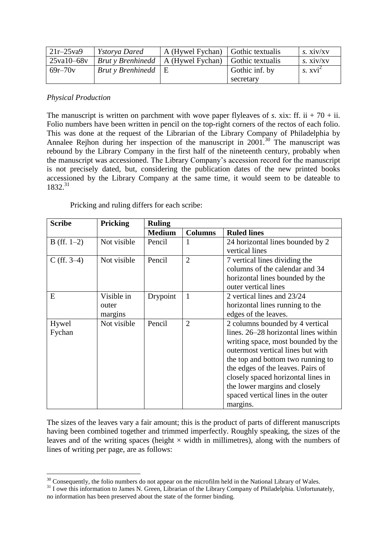| $21r - 25v$ a9 | <i>Ystorya Dared</i>            | A (Hywel Fychan) Gothic textualis |                  | s. xiv/xy  |
|----------------|---------------------------------|-----------------------------------|------------------|------------|
| 25va10-68v     | <b>Brut</b> y <b>Brenhinedd</b> | A (Hywel Fychan)                  | Gothic textualis | s. xiv/xy  |
| $69r - 70v$    | <b>Brut</b> y <b>Brenhinedd</b> | ιE                                | Gothic inf. by   | $s. xvi^2$ |
|                |                                 |                                   | secretary        |            |

# *Physical Production*

The manuscript is written on parchment with wove paper flyleaves of *s*. xix: ff. ii  $+70 +$  ii. Folio numbers have been written in pencil on the top-right corners of the rectos of each folio. This was done at the request of the Librarian of the Library Company of Philadelphia by Annalee Rejhon during her inspection of the manuscript in  $2001$ .<sup>30</sup> The manuscript was rebound by the Library Company in the first half of the nineteenth century, probably when the manuscript was accessioned. The Library Company's accession record for the manuscript is not precisely dated, but, considering the publication dates of the new printed books accessioned by the Library Company at the same time, it would seem to be dateable to 1832.<sup>31</sup>

Pricking and ruling differs for each scribe:

| <b>Scribe</b> | <b>Pricking</b> | <b>Ruling</b> |                |                                      |
|---------------|-----------------|---------------|----------------|--------------------------------------|
|               |                 | <b>Medium</b> | <b>Columns</b> | <b>Ruled lines</b>                   |
| $B$ (ff. 1–2) | Not visible     | Pencil        |                | 24 horizontal lines bounded by 2     |
|               |                 |               |                | vertical lines                       |
| $C$ (ff. 3–4) | Not visible     | Pencil        | $\overline{2}$ | 7 vertical lines dividing the        |
|               |                 |               |                | columns of the calendar and 34       |
|               |                 |               |                | horizontal lines bounded by the      |
|               |                 |               |                | outer vertical lines                 |
| E             | Visible in      | Drypoint      | 1              | 2 vertical lines and 23/24           |
|               | outer           |               |                | horizontal lines running to the      |
|               | margins         |               |                | edges of the leaves.                 |
| Hywel         | Not visible     | Pencil        | $\overline{2}$ | 2 columns bounded by 4 vertical      |
| Fychan        |                 |               |                | lines. 26–28 horizontal lines within |
|               |                 |               |                | writing space, most bounded by the   |
|               |                 |               |                | outermost vertical lines but with    |
|               |                 |               |                | the top and bottom two running to    |
|               |                 |               |                | the edges of the leaves. Pairs of    |
|               |                 |               |                | closely spaced horizontal lines in   |
|               |                 |               |                | the lower margins and closely        |
|               |                 |               |                | spaced vertical lines in the outer   |
|               |                 |               |                | margins.                             |

The sizes of the leaves vary a fair amount; this is the product of parts of different manuscripts having been combined together and trimmed imperfectly. Roughly speaking, the sizes of the leaves and of the writing spaces (height  $\times$  width in millimetres), along with the numbers of lines of writing per page, are as follows:

<sup>&</sup>lt;sup>30</sup> Consequently, the folio numbers do not appear on the microfilm held in the National Library of Wales.

<sup>&</sup>lt;sup>31</sup> I owe this information to James N. Green, Librarian of the Library Company of Philadelphia. Unfortunately, no information has been preserved about the state of the former binding.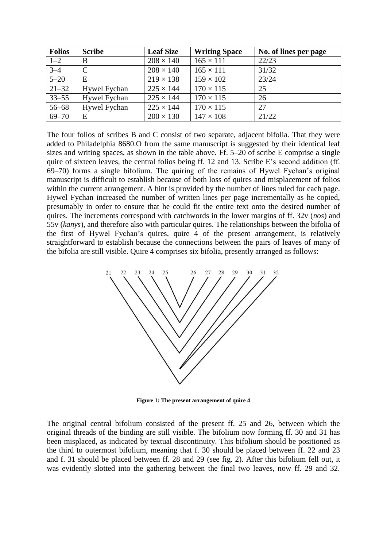| <b>Folios</b> | <b>Scribe</b>       | <b>Leaf Size</b> | <b>Writing Space</b> | No. of lines per page |
|---------------|---------------------|------------------|----------------------|-----------------------|
| $1 - 2$       | B                   | $208 \times 140$ | $165 \times 111$     | 22/23                 |
| $3 - 4$       | $\mathcal{C}$       | $208 \times 140$ | $165 \times 111$     | 31/32                 |
| $5 - 20$      | Е                   | $219 \times 138$ | $159 \times 102$     | 23/24                 |
| $21 - 32$     | <b>Hywel Fychan</b> | $225 \times 144$ | $170 \times 115$     | 25                    |
| $33 - 55$     | Hywel Fychan        | $225 \times 144$ | $170 \times 115$     | 26                    |
| $56 - 68$     | <b>Hywel Fychan</b> | $225 \times 144$ | $170 \times 115$     | 27                    |
| $69 - 70$     | E                   | $200 \times 130$ | $147 \times 108$     | 21/22                 |

The four folios of scribes B and C consist of two separate, adjacent bifolia. That they were added to Philadelphia 8680.O from the same manuscript is suggested by their identical leaf sizes and writing spaces, as shown in the table above. Ff. 5–20 of scribe E comprise a single quire of sixteen leaves, the central folios being ff. 12 and 13. Scribe E's second addition (ff. 69–70) forms a single bifolium. The quiring of the remains of Hywel Fychan's original manuscript is difficult to establish because of both loss of quires and misplacement of folios within the current arrangement. A hint is provided by the number of lines ruled for each page. Hywel Fychan increased the number of written lines per page incrementally as he copied, presumably in order to ensure that he could fit the entire text onto the desired number of quires. The increments correspond with catchwords in the lower margins of ff. 32v (*nos*) and 55v (*kanys*), and therefore also with particular quires. The relationships between the bifolia of the first of Hywel Fychan's quires, quire 4 of the present arrangement, is relatively straightforward to establish because the connections between the pairs of leaves of many of the bifolia are still visible. Quire 4 comprises six bifolia, presently arranged as follows:



**Figure 1: The present arrangement of quire 4** 

The original central bifolium consisted of the present ff. 25 and 26, between which the original threads of the binding are still visible. The bifolium now forming ff. 30 and 31 has been misplaced, as indicated by textual discontinuity. This bifolium should be positioned as the third to outermost bifolium, meaning that f. 30 should be placed between ff. 22 and 23 and f. 31 should be placed between ff. 28 and 29 (see fig. 2). After this bifolium fell out, it was evidently slotted into the gathering between the final two leaves, now ff. 29 and 32.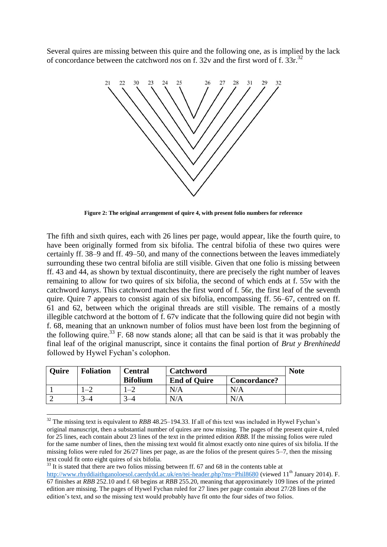Several quires are missing between this quire and the following one, as is implied by the lack of concordance between the catchword *nos* on f. 32v and the first word of f. 33r.<sup>32</sup>



**Figure 2: The original arrangement of quire 4, with present folio numbers for reference** 

The fifth and sixth quires, each with 26 lines per page, would appear, like the fourth quire, to have been originally formed from six bifolia. The central bifolia of these two quires were certainly ff. 38–9 and ff. 49–50, and many of the connections between the leaves immediately surrounding these two central bifolia are still visible. Given that one folio is missing between ff. 43 and 44, as shown by textual discontinuity, there are precisely the right number of leaves remaining to allow for two quires of six bifolia, the second of which ends at f. 55v with the catchword *kanys*. This catchword matches the first word of f. 56r, the first leaf of the seventh quire. Quire 7 appears to consist again of six bifolia, encompassing ff. 56–67, centred on ff. 61 and 62, between which the original threads are still visible. The remains of a mostly illegible catchword at the bottom of f. 67v indicate that the following quire did not begin with f. 68, meaning that an unknown number of folios must have been lost from the beginning of the following quire.<sup>33</sup> F. 68 now stands alone; all that can be said is that it was probably the final leaf of the original manuscript, since it contains the final portion of *Brut y Brenhinedd*  followed by Hywel Fychan's colophon.

| <b>Ouire</b> | <b>Foliation</b> | <b>Central</b>  | <b>Catchword</b>    |              | <b>Note</b> |
|--------------|------------------|-----------------|---------------------|--------------|-------------|
|              |                  | <b>Bifolium</b> | <b>End of Quire</b> | Concordance? |             |
|              | $-4$             |                 | N/A                 | N/A          |             |
|              |                  |                 | N/A                 | N/A          |             |

<sup>&</sup>lt;sup>32</sup> The missing text is equivalent to *RBB* 48.25–194.33. If all of this text was included in Hywel Fychan's original manuscript, then a substantial number of quires are now missing. The pages of the present quire 4, ruled for 25 lines, each contain about 23 lines of the text in the printed edition *RBB*. If the missing folios were ruled for the same number of lines, then the missing text would fit almost exactly onto nine quires of six bifolia. If the missing folios were ruled for 26/27 lines per page, as are the folios of the present quires 5–7, then the missing text could fit onto eight quires of six bifolia.

 $33$  It is stated that there are two folios missing between ff. 67 and 68 in the contents table at <http://www.rhyddiaithganoloesol.caerdydd.ac.uk/en/tei-header.php?ms=Phil8680>(viewed 11<sup>th</sup> January 2014). F. 67 finishes at *RBB* 252.10 and f. 68 begins at *RBB* 255.20, meaning that approximately 109 lines of the printed edition are missing. The pages of Hywel Fychan ruled for 27 lines per page contain about 27/28 lines of the edition's text, and so the missing text would probably have fit onto the four sides of two folios.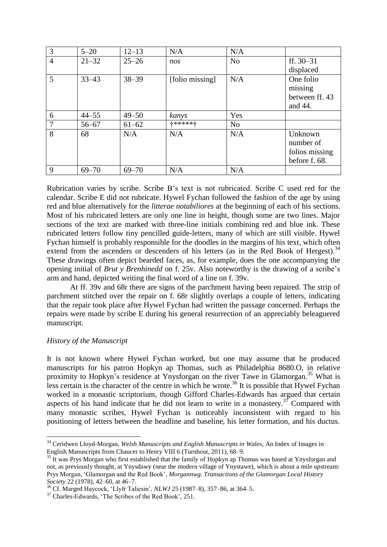| 3              | $5 - 20$  | $12 - 13$ | N/A             | N/A            |                |
|----------------|-----------|-----------|-----------------|----------------|----------------|
| $\overline{4}$ | $21 - 32$ | $25 - 26$ | nos             | N <sub>o</sub> | ff. $30 - 31$  |
|                |           |           |                 |                | displaced      |
| 5              | $33 - 43$ | $38 - 39$ | [folio missing] | N/A            | One folio      |
|                |           |           |                 |                | missing        |
|                |           |           |                 |                | between ff. 43 |
|                |           |           |                 |                | and 44.        |
| 6              | $44 - 55$ | $49 - 50$ | kanys           | Yes            |                |
| 7              | $56 - 67$ | $61 - 62$ | +*****+         | N <sub>o</sub> |                |
| 8              | 68        | N/A       | N/A             | N/A            | Unknown        |
|                |           |           |                 |                | number of      |
|                |           |           |                 |                | folios missing |
|                |           |           |                 |                | before f. 68.  |
| 9              | $69 - 70$ | $69 - 70$ | N/A             | N/A            |                |

Rubrication varies by scribe. Scribe B's text is not rubricated. Scribe C used red for the calendar. Scribe E did not rubricate. Hywel Fychan followed the fashion of the age by using red and blue alternatively for the *litterae notabiliores* at the beginning of each of his sections. Most of his rubricated letters are only one line in height, though some are two lines. Major sections of the text are marked with three-line initials combining red and blue ink. These rubricated letters follow tiny pencilled guide-letters, many of which are still visible. Hywel Fychan himself is probably responsible for the doodles in the margins of his text, which often extend from the ascenders or descenders of his letters (as in the Red Book of Hergest).<sup>34</sup> These drawings often depict bearded faces, as, for example, does the one accompanying the opening initial of *Brut y Brenhinedd* on f. 25v. Also noteworthy is the drawing of a scribe's arm and hand, depicted writing the final word of a line on f. 39v.

At ff. 39v and 68r there are signs of the parchment having been repaired. The strip of parchment stitched over the repair on f. 68r slightly overlaps a couple of letters, indicating that the repair took place after Hywel Fychan had written the passage concerned. Perhaps the repairs were made by scribe E during his general resurrection of an appreciably beleaguered manuscript.

#### *History of the Manuscript*

It is not known where Hywel Fychan worked, but one may assume that he produced manuscripts for his patron Hopkyn ap Thomas, such as Philadelphia 8680.O, in relative proximity to Hopkyn's residence at Ynysforgan on the river Tawe in Glamorgan.<sup>35</sup> What is less certain is the character of the centre in which he wrote.<sup>36</sup> It is possible that Hywel Fychan worked in a monastic scriptorium, though Gifford Charles-Edwards has argued that certain aspects of his hand indicate that he did not learn to write in a monastery.<sup>37</sup> Compared with many monastic scribes, Hywel Fychan is noticeably inconsistent with regard to his positioning of letters between the headline and baseline, his letter formation, and his ductus.

<sup>34</sup> Ceridwen Lloyd-Morgan, *Welsh Manuscripts and English Manuscripts in Wales*, An Index of Images in English Manuscripts from Chaucer to Henry VIII 6 (Turnhout, 2011), 68–9.

<sup>&</sup>lt;sup>35</sup> It was Prys Morgan who first established that the family of Hopkyn ap Thomas was based at Ynysforgan and not, as previously thought, at Ynysdawy (near the modern village of Ynystawe), which is about a mile upstream: Prys Morgan, 'Glamorgan and the Red Book', *Morgannwg. Transactions of the Glamorgan Local History Society* 22 (1978), 42–60, at 46–7.

<sup>36</sup> Cf. Marged Haycock, 'Llyfr Taliesin', *NLWJ* 25 (1987–8), 357–86, at 364–5.

<sup>37</sup> Charles-Edwards, 'The Scribes of the Red Book', 251.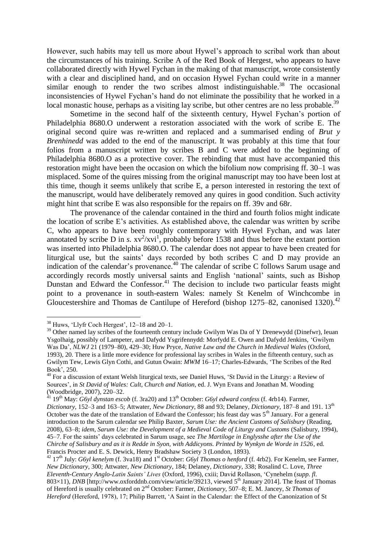However, such habits may tell us more about Hywel's approach to scribal work than about the circumstances of his training. Scribe A of the Red Book of Hergest, who appears to have collaborated directly with Hywel Fychan in the making of that manuscript, wrote consistently with a clear and disciplined hand, and on occasion Hywel Fychan could write in a manner similar enough to render the two scribes almost indistinguishable.<sup>38</sup> The occasional inconsistencies of Hywel Fychan's hand do not eliminate the possibility that he worked in a local monastic house, perhaps as a visiting lay scribe, but other centres are no less probable.<sup>39</sup>

Sometime in the second half of the sixteenth century, Hywel Fychan's portion of Philadelphia 8680.O underwent a restoration associated with the work of scribe E. The original second quire was re-written and replaced and a summarised ending of *Brut y Brenhinedd* was added to the end of the manuscript. It was probably at this time that four folios from a manuscript written by scribes B and C were added to the beginning of Philadelphia 8680.O as a protective cover. The rebinding that must have accompanied this restoration might have been the occasion on which the bifolium now comprising ff. 30–1 was misplaced. Some of the quires missing from the original manuscript may too have been lost at this time, though it seems unlikely that scribe E, a person interested in restoring the text of the manuscript, would have deliberately removed any quires in good condition. Such activity might hint that scribe E was also responsible for the repairs on ff. 39v and 68r.

The provenance of the calendar contained in the third and fourth folios might indicate the location of scribe E's activities. As established above, the calendar was written by scribe C, who appears to have been roughly contemporary with Hywel Fychan, and was later annotated by scribe D in *s*.  $xv^2/xvi^1$ , probably before 1538 and thus before the extant portion was inserted into Philadelphia 8680.O. The calendar does not appear to have been created for liturgical use, but the saints' days recorded by both scribes C and D may provide an indication of the calendar's provenance. <sup>40</sup> The calendar of scribe C follows Sarum usage and accordingly records mostly universal saints and English 'national' saints, such as Bishop Dunstan and Edward the Confessor.<sup>41</sup> The decision to include two particular feasts might point to a provenance in south-eastern Wales: namely St Kenelm of Winchcombe in Gloucestershire and Thomas de Cantilupe of Hereford (bishop  $1275-82$ , canonised  $1320$ ).<sup>42</sup>

<sup>38</sup> Huws, 'Llyfr Coch Hergest', 12–18 and 20–1.

<sup>&</sup>lt;sup>39</sup> Other named lay scribes of the fourteenth century include Gwilym Was Da of Y Drenewydd (Dinefwr), Ieuan Ysgolhaig, possibly of Lampeter, and Dafydd Ysgrifennydd: Morfydd E. Owen and Dafydd Jenkins, 'Gwilym Was Da', *NLWJ* 21 (1979–80), 429–30; Huw Pryce, *Native Law and the Church in Medieval Wales* (Oxford, 1993), 20. There is a little more evidence for professional lay scribes in Wales in the fifteenth century, such as Gwilym Tew, Lewis Glyn Cothi, and Gutun Owain: *MWM* 16–17; Charles-Edwards, 'The Scribes of the Red Book', 250.

<sup>&</sup>lt;sup>40</sup> For a discussion of extant Welsh liturgical texts, see Daniel Huws, 'St David in the Liturgy: a Review of Sources', in *St David of Wales: Cult, Church and Nation*, ed. J. Wyn Evans and Jonathan M. Wooding (Woodbridge, 2007), 220–32.

 $^{41}$  19<sup>th</sup> May: *G6yl dynstan escob* (f. 3ra20) and 13<sup>th</sup> October: *G6yl edward confess* (f. 4rb14). Farmer, *Dictionary*, 152–3 and 163–5; Attwater, *New Dictionary*, 88 and 93; Delaney, *Dictionary*, 187–8 and 191. 13<sup>th</sup> October was the date of the translation of Edward the Confessor; his feast day was  $5<sup>th</sup>$  January. For a general introduction to the Sarum calendar see Philip Baxter, *Sarum Use: the Ancient Customs of Salisbury* (Reading, 2008), 63–8; *idem*, *Sarum Use: the Development of a Medieval Code of Liturgy and Customs* (Salisbury, 1994), 45–7. For the saints' days celebrated in Sarum usage, see *The Martiloge in Englysshe after the Use of the Chirche of Salisbury and as it is Redde in Syon, with Addicyons. Printed by Wynkyn de Worde in 1526*, ed. Francis Procter and E. S. Dewick, Henry Bradshaw Society 3 (London, 1893).

<sup>&</sup>lt;sup>42</sup> 17<sup>th</sup> July: *G6yl kenelym* (f. 3va18) and 1<sup>st</sup> October: *G6yl Thomas o henford* (f. 4rb2). For Kenelm, see Farmer, *New Dictionary*, 300; Attwater, *New Dictionary*, 184; Delaney, *Dictionary*, 338; Rosalind C. Love, *Three Eleventh-Century Anglo-Latin Saints' Lives* (Oxford, 1996), cxiii; David Rollason, 'Cynehelm (*supp. fl.*  803×11), *DNB* [http://www.oxforddnb.com/view/article/39213, viewed 5<sup>th</sup> January 2014]. The feast of Thomas of Hereford is usually celebrated on 2nd October: Farmer, *Dictionary*, 507–8; E. M. Jancey, *St Thomas of Hereford* (Hereford, 1978), 17; Philip Barrett, 'A Saint in the Calendar: the Effect of the Canonization of St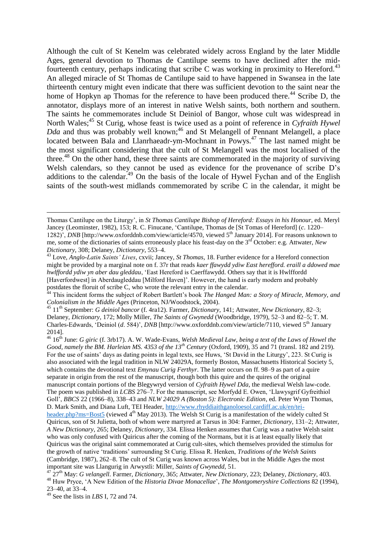Although the cult of St Kenelm was celebrated widely across England by the later Middle Ages, general devotion to Thomas de Cantilupe seems to have declined after the midfourteenth century, perhaps indicating that scribe C was working in proximity to Hereford.<sup>43</sup> An alleged miracle of St Thomas de Cantilupe said to have happened in Swansea in the late thirteenth century might even indicate that there was sufficient devotion to the saint near the home of Hopkyn ap Thomas for the reference to have been produced there.<sup>44</sup> Scribe D, the annotator, displays more of an interest in native Welsh saints, both northern and southern. The saints he commemorates include St Deiniol of Bangor, whose cult was widespread in North Wales;<sup>45</sup> St Curig, whose feast is twice used as a point of reference in *Cyfraith Hywel Dda* and thus was probably well known;<sup>46</sup> and St Melangell of Pennant Melangell, a place located between Bala and Llanrhaeadr-ym-Mochnant in Powys.<sup>47</sup> The last named might be the most significant considering that the cult of St Melangell was the most localised of the three.<sup>48</sup> On the other hand, these three saints are commemorated in the majority of surviving Welsh calendars, so they cannot be used as evidence for the provenance of scribe D's additions to the calendar.<sup>49</sup> On the basis of the locale of Hywel Fychan and of the English saints of the south-west midlands commemorated by scribe C in the calendar, it might be

Thomas Cantilupe on the Liturgy', in *St Thomas Cantilupe Bishop of Hereford: Essays in his Honour*, ed. Meryl Jancey (Leominster, 1982), 153; R. C. Finucane, 'Cantilupe, Thomas de [St Tomas of Hereford] (*c*. 1220– 1282)', *DNB* [http://www.oxforddnb.com/view/article/4570, viewed 5<sup>th</sup> January 2014]. For reasons unknown to me, some of the dictionaries of saints erroneously place his feast-day on the 3rd October: e.g. Attwater, *New Dictionary*, 308; Delaney, *Dictionary*, 553–4.

<sup>43</sup> Love, *Anglo-Latin Saints' Lives*, cxvii; Jancey, *St Thomas*, 18. Further evidence for a Hereford connection might be provided by a marginal note on f. 37r that reads *kaer ffawydd ydiw East herefford. eraill a ddowed mae hwlffordd ydiw yn aber dau gleddau*, 'East Hereford is Caerffawydd. Others say that it is Hwlffordd [Haverfordwest] in Aberdaugleddau [Milford Haven]'. However, the hand is early modern and probably postdates the floruit of scribe C, who wrote the relevant entry in the calendar.

<sup>&</sup>lt;sup>44</sup> This incident forms the subject of Robert Bartlett's book *The Hanged Man: a Story of Miracle, Memory, and Colonialism in the Middle Ages* (Princeton, NJ/Woodstock, 2004).

<sup>45</sup> 11th September: *G deiniol bancor* (f. 4ra12). Farmer, *Dictionary*, 141; Attwater, *New Dictionary*, 82–3; Delaney, *Dictionary*, 172; Molly Miller, *The Saints of Gwynedd* (Woodbridge, 1979), 52–3 and 82–5; T. M. Charles-Edwards, 'Deiniol (*d.* 584)', *DNB* [http://www.oxforddnb.com/view/article/7110, viewed 5<sup>th</sup> January 2014].

<sup>46</sup> 16th June: *G giric* (f. 3rb17). A. W. Wade-Evans, *Welsh Medieval Law, being a text of the Laws of Howel the Good, namely the BM. Harleian MS. 4353 of the 13<sup>th</sup> Century (Oxford, 1909), 35 and 71 (transl. 182 and 219).* For the use of saints' days as dating points in legal texts, see Huws, 'St David in the Liturgy', 223. St Curig is also associated with the legal tradition in NLW 24029A, formerly Boston, Massachusetts Historical Society 5, which contains the devotional text *Emynau Curig Ferthyr*. The latter occurs on ff. 98–9 as part of a quire separate in origin from the rest of the manuscript, though both this quire and the quires of the original manuscript contain portions of the Blegywryd version of *Cyfraith Hywel Dda*, the medieval Welsh law-code. The poem was published in *LCBS* 276–7. For the manuscript, see Morfydd E. Owen, 'Llawysgrif Gyfreithiol Goll', *BBCS* 22 (1966–8), 338–43 and *NLW 24029 A (Boston 5): Electronic Edition*, ed. Peter Wynn Thomas, D. Mark Smith, and Diana Luft, TEI Header[, http://www.rhyddiaithganoloesol.cardiff.ac.uk/en/tei](http://www.rhyddiaithganoloesol.cardiff.ac.uk/en/tei-header.php?ms=Bost5)[header.php?ms=Bost5](http://www.rhyddiaithganoloesol.cardiff.ac.uk/en/tei-header.php?ms=Bost5) (viewed  $4<sup>th</sup>$  May 2013). The Welsh St Curig is a manifestation of the widely culted St Quiricus, son of St Julietta, both of whom were martyred at Tarsus in 304: Farmer, *Dictionary*, 131–2; Attwater, *A New Dictionary*, 265; Delaney, *Dictionary*, 334. Elissa Henken assumes that Curig was a native Welsh saint who was only confused with Quiricus after the coming of the Normans, but it is at least equally likely that Quiricus was the original saint commemorated at Curig cult-sites, which themselves provided the stimulus for the growth of native 'traditions' surrounding St Curig. Elissa R. Henken, *Traditions of the Welsh Saints*  (Cambridge, 1987), 262–8. The cult of St Curig was known across Wales, but in the Middle Ages the most important site was Llangurig in Arwystli: Miller, *Saints of Gwynedd*, 51.

<sup>47</sup> 27th May: *G velangell*. Farmer, *Dictionary*, 365; Attwater, *New Dictionary*, 223; Delaney, *Dictionary*, 403. <sup>48</sup> Huw Pryce, 'A New Edition of the *Historia Divae Monacellae*', *The Montgomeryshire Collections* 82 (1994), 23–40, at 33–4.

<sup>49</sup> See the lists in *LBS* I, 72 and 74.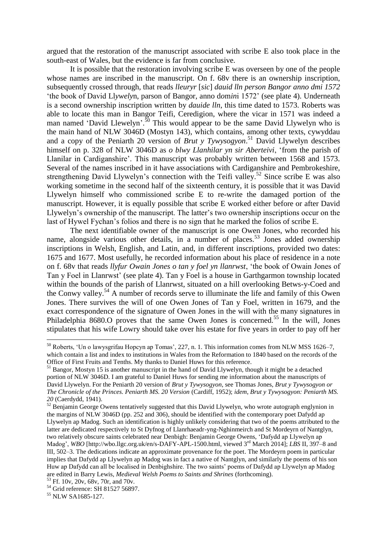argued that the restoration of the manuscript associated with scribe E also took place in the south-east of Wales, but the evidence is far from conclusive.

It is possible that the restoration involving scribe E was overseen by one of the people whose names are inscribed in the manuscript. On f. 68v there is an ownership inscription, subsequently crossed through, that reads *lleuryr* [*sic*] *dauid lln person Bangor anno dmi 1572* 'the book of David Ll*ywely*n, parson of Bangor, anno d*o*m*in*i 1572' (see plate 4). Underneath is a second ownership inscription written by *dauide lln*, this time dated to 1573. Roberts was able to locate this man in Bangor Teifi, Ceredigion, where the vicar in 1571 was indeed a man named 'David Llewelyn'.<sup>50</sup> This would appear to be the same David Llywelyn who is the main hand of NLW 3046D (Mostyn 143), which contains, among other texts, cywyddau and a copy of the Peniarth 20 version of *Brut y Tywysogyon*. <sup>51</sup> David Llywelyn describes himself on p. 328 of NLW 3046D as *o blwy Llanhilar yn sir Aberteivi*, 'from the parish of Llanilar in Cardiganshire'. This manuscript was probably written between 1568 and 1573. Several of the names inscribed in it have associations with Cardiganshire and Pembrokeshire, strengthening David Llywelyn's connection with the Teifi valley.<sup>52</sup> Since scribe E was also working sometime in the second half of the sixteenth century, it is possible that it was David Llywelyn himself who commissioned scribe E to re-write the damaged portion of the manuscript. However, it is equally possible that scribe E worked either before or after David Llywelyn's ownership of the manuscript. The latter's two ownership inscriptions occur on the last of Hywel Fychan's folios and there is no sign that he marked the folios of scribe E.

The next identifiable owner of the manuscript is one Owen Jones, who recorded his name, alongside various other details, in a number of places.<sup>53</sup> Jones added ownership inscriptions in Welsh, English, and Latin, and, in different inscriptions, provided two dates: 1675 and 1677. Most usefully, he recorded information about his place of residence in a note on f. 68v that reads *llyfur Owain Jones o tan y foel yn llanrwst*, 'the book of Owain Jones of Tan y Foel in Llanrwst' (see plate 4). Tan y Foel is a house in Garthgarmon township located within the bounds of the parish of Llanrwst, situated on a hill overlooking Betws-y-Coed and the Conwy valley.<sup>54</sup> A number of records serve to illuminate the life and family of this Owen Jones. There survives the will of one Owen Jones of Tan y Foel, written in 1679, and the exact correspondence of the signature of Owen Jones in the will with the many signatures in Philadelphia 8680.O proves that the same Owen Jones is concerned.<sup>55</sup> In the will, Jones stipulates that his wife Lowry should take over his estate for five years in order to pay off her

<sup>50</sup> Roberts, 'Un o lawysgrifau Hopcyn ap Tomas', 227, n. 1. This information comes from NLW MSS 1626–7, which contain a list and index to institutions in Wales from the Reformation to 1840 based on the records of the Office of First Fruits and Tenths. My thanks to Daniel Huws for this reference.

<sup>&</sup>lt;sup>51</sup> Bangor, Mostyn 15 is another manuscript in the hand of David Llywelyn, though it might be a detached portion of NLW 3046D. I am grateful to Daniel Huws for sending me information about the manuscripts of David Llywelyn. For the Peniarth 20 version of *Brut y Tywysogyon*, see Thomas Jones, *Brut y Tywysogyon or The Chronicle of the Princes. Peniarth MS. 20 Version* (Cardiff, 1952); *idem*, *Brut y Tywysogyon: Peniarth MS. 20* (Caerdydd, 1941).

<sup>&</sup>lt;sup>52</sup> Benjamin George Owens tentatively suggested that this David Llywelyn, who wrote autograph englynion in the margins of NLW 3046D (pp. 252 and 306), should be identified with the contemporary poet Dafydd ap Llywelyn ap Madog. Such an identification is highly unlikely considering that two of the poems attributed to the latter are dedicated respectively to St Dyfnog of Llanrhaeadr-yng-Nghinmeirch and St Mordeyrn of Nantglyn, two relatively obscure saints celebrated near Denbigh: Benjamin George Owens, 'Dafydd ap Llywelyn ap Madog', *WBO* [http://wbo.llgc.org.uk/en/s-DAFY-APL-1500.html, viewed 3<sup>rd</sup> March 2014]; *LBS* II, 397–8 and III, 502–3. The dedications indicate an approximate provenance for the poet. The Mordeyrn poem in particular implies that Dafydd ap Llywelyn ap Madog was in fact a native of Nantglyn, and similarly the poems of his son Huw ap Dafydd can all be localised in Denbighshire. The two saints' poems of Dafydd ap Llywelyn ap Madog are edited in Barry Lewis, *Medieval Welsh Poems to Saints and Shrines* (forthcoming).

<sup>53</sup> Ff. 10v, 20v, 68v, 70r, and 70v. <sup>54</sup> Grid reference: SH 81527 56897.

<sup>&</sup>lt;sup>55</sup> NLW SA1685-127.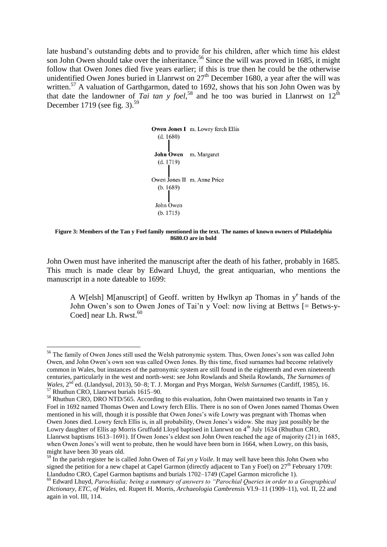late husband's outstanding debts and to provide for his children, after which time his eldest son John Owen should take over the inheritance.<sup>56</sup> Since the will was proved in 1685, it might follow that Owen Jones died five years earlier; if this is true then he could be the otherwise unidentified Owen Jones buried in Llanrwst on  $27<sup>th</sup>$  December 1680, a year after the will was written.<sup>57</sup> A valuation of Garthgarmon, dated to 1692, shows that his son John Owen was by that date the landowner of *Tai tan y foel*<sup>58</sup> and he too was buried in Llanrwst on  $12^{\text{th}}$ December 1719 (see fig. 3).<sup>59</sup>

> Owen Jones I m. Lowry ferch Ellis  $(d. 1680)$ John Owen m. Margaret  $(d. 1719)$ Owen Jones II m. Anne Price  $(b. 1689)$ John Owen  $(b. 1715)$

**Figure 3: Members of the Tan y Foel family mentioned in the text. The names of known owners of Philadelphia 8680.O are in bold** 

John Owen must have inherited the manuscript after the death of his father, probably in 1685. This much is made clear by Edward Lhuyd, the great antiquarian, who mentions the manuscript in a note dateable to 1699:

A W[elsh] M[anuscript] of Geoff. written by Hwlkyn ap Thomas in  $y^e$  hands of the John Owen's son to Owen Jones of Tai'n y Voel: now living at Bettws [= Betws-y-Coedl near Lh. Rwst. $60$ 

<sup>56</sup> The family of Owen Jones still used the Welsh patronymic system. Thus, Owen Jones's son was called John Owen, and John Owen's own son was called Owen Jones. By this time, fixed surnames had become relatively common in Wales, but instances of the patronymic system are still found in the eighteenth and even nineteenth centuries, particularly in the west and north-west: see John Rowlands and Sheila Rowlands, *The Surnames of Wales*,  $2^{nd}$ ed. (Llandysul, 2013), 50–8; T. J. Morgan and Prys Morgan, *Welsh Surnames* (Cardiff, 1985), 16.

<sup>57</sup> Rhuthun CRO, Llanrwst burials 1615–90.

<sup>&</sup>lt;sup>58</sup> Rhuthun CRO, DRO NTD/565. According to this evaluation, John Owen maintained two tenants in Tan y Foel in 1692 named Thomas Owen and Lowry ferch Ellis. There is no son of Owen Jones named Thomas Owen mentioned in his will, though it is possible that Owen Jones's wife Lowry was pregnant with Thomas when Owen Jones died. Lowry ferch Ellis is, in all probability, Owen Jones's widow. She may just possibly be the Lowry daughter of Ellis ap Morris Gruffudd Lloyd baptised in Llanrwst on 4<sup>th</sup> July 1634 (Rhuthun CRO, Llanrwst baptisms 1613–1691). If Owen Jones's eldest son John Owen reached the age of majority (21) in 1685, when Owen Jones's will went to probate, then he would have been born in 1664, when Lowry, on this basis, might have been 30 years old.

<sup>59</sup> In the parish register he is called John Owen of *Tai yn y Voile*. It may well have been this John Owen who signed the petition for a new chapel at Capel Garmon (directly adjacent to Tan y Foel) on  $27<sup>th</sup>$  February 1709: Llandudno CRO, Capel Garmon baptisms and burials 1702–1749 (Capel Garmon microfiche 1).

<sup>60</sup> Edward Lhuyd, *Parochialia; being a summary of answers to "Parochial Queries in order to a Geographical Dictionary, ETC, of Wales*, ed. Rupert H. Morris, *Archaeologia Cambrensis* VI.9–11 (1909–11), vol. II, 22 and again in vol. III, 114.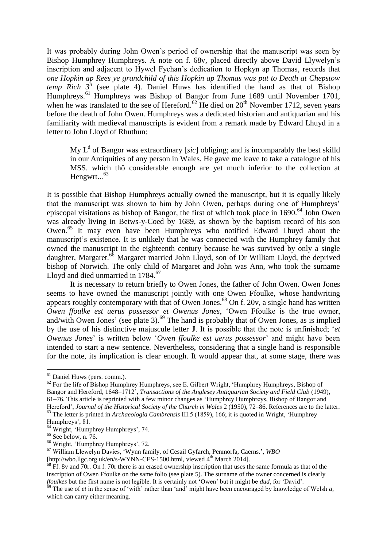It was probably during John Owen's period of ownership that the manuscript was seen by Bishop Humphrey Humphreys. A note on f. 68v, placed directly above David Llywelyn's inscription and adjacent to Hywel Fychan's dedication to Hopkyn ap Thomas, records that *one Hopkin ap Rees ye grandchild of this Hopkin ap Thomas was put to Death at Chepstow temp Rich*  $3^a$  (see plate 4). Daniel Huws has identified the hand as that of Bishop Humphreys.<sup>61</sup> Humphreys was Bishop of Bangor from June 1689 until November 1701, when he was translated to the see of Hereford.<sup>62</sup> He died on  $20<sup>th</sup>$  November 1712, seven years before the death of John Owen. Humphreys was a dedicated historian and antiquarian and his familiarity with medieval manuscripts is evident from a remark made by Edward Lhuyd in a letter to John Lloyd of Rhuthun:

My  $L<sup>d</sup>$  of Bangor was extraordinary [sic] obliging; and is incomparably the best skilld in our Antiquities of any person in Wales. He gave me leave to take a catalogue of his MSS. which thô considerable enough are yet much inferior to the collection at Hengwrt...<sup>63</sup>

It is possible that Bishop Humphreys actually owned the manuscript, but it is equally likely that the manuscript was shown to him by John Owen, perhaps during one of Humphreys' episcopal visitations as bishop of Bangor, the first of which took place in 1690.<sup>64</sup> John Owen was already living in Betws-y-Coed by 1689, as shown by the baptism record of his son Owen.<sup>65</sup> It may even have been Humphreys who notified Edward Lhuyd about the manuscript's existence. It is unlikely that he was connected with the Humphrey family that owned the manuscript in the eighteenth century because he was survived by only a single daughter, Margaret.<sup>66</sup> Margaret married John Lloyd, son of Dr William Lloyd, the deprived bishop of Norwich. The only child of Margaret and John was Ann, who took the surname Lloyd and died unmarried in 1784.<sup>67</sup>

It is necessary to return briefly to Owen Jones, the father of John Owen. Owen Jones seems to have owned the manuscript jointly with one Owen Ffoulke, whose handwriting appears roughly contemporary with that of Owen Jones.<sup>68</sup> On f. 20v, a single hand has written *Owen ffoulke est uerus possessor et Owenus Jones*, 'Owen Ffoulke is the true owner, and/with Owen Jones' (see plate 3).<sup>69</sup> The hand is probably that of Owen Jones, as is implied by the use of his distinctive majuscule letter **J**. It is possible that the note is unfinished; '*et Owenus Jones*' is written below '*Owen ffoulke est uerus possessor*' and might have been intended to start a new sentence. Nevertheless, considering that a single hand is responsible for the note, its implication is clear enough. It would appear that, at some stage, there was

<sup>&</sup>lt;sup>61</sup> Daniel Huws (pers. comm.).

 $62$  For the life of Bishop Humphrey Humphreys, see E. Gilbert Wright, 'Humphrey Humphreys, Bishop of Bangor and Hereford, 1648–1712', *Transactions of the Anglesey Antiquarian Society and Field Club* (1949), 61–76. This article is reprinted with a few minor changes as 'Humphrey Humphreys, Bishop of Bangor and Hereford', *Journal of the Historical Society of the Church in Wales* 2 (1950), 72–86. References are to the latter. <sup>63</sup> The letter is printed in *Archaeologia Cambrensis* III.5 (1859), 166; it is quoted in Wright, 'Humphrey

Humphreys', 81.

<sup>&</sup>lt;sup>64</sup> Wright, 'Humphrey Humphreys', 74.

 $65$  See below, n.  $76$ .

<sup>66</sup> Wright, 'Humphrey Humphreys', 72.

<sup>67</sup> William Llewelyn Davies, 'Wynn family, of Cesail Gyfarch, Penmorfa, Caerns.', *WBO* 

<sup>[</sup>http://wbo.llgc.org.uk/en/s-WYNN-CES-1500.html, viewed 4<sup>th</sup> March 2014].

 $68$  Ff. 8v and 70r. On f. 70r there is an erased ownership inscription that uses the same formula as that of the inscription of Owen Ffoulke on the same folio (see plate 5). The surname of the owner concerned is clearly *ffoulkes* but the first name is not legible. It is certainly not 'Owen' but it might be *dud*, for 'David'.

<sup>69</sup> The use of *et* in the sense of 'with' rather than 'and' might have been encouraged by knowledge of Welsh *a*, which can carry either meaning.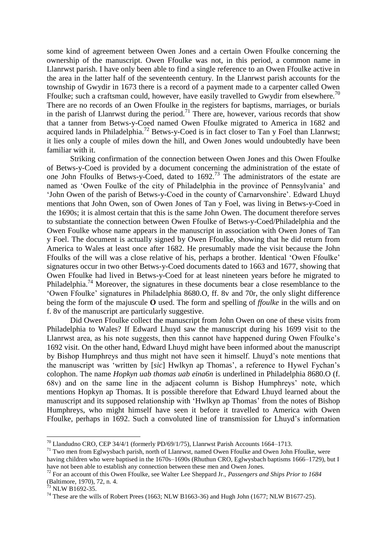some kind of agreement between Owen Jones and a certain Owen Ffoulke concerning the ownership of the manuscript. Owen Ffoulke was not, in this period, a common name in Llanrwst parish. I have only been able to find a single reference to an Owen Ffoulke active in the area in the latter half of the seventeenth century. In the Llanrwst parish accounts for the township of Gwydir in 1673 there is a record of a payment made to a carpenter called Owen Ffoulke; such a craftsman could, however, have easily travelled to Gwydir from elsewhere.<sup>70</sup> There are no records of an Owen Ffoulke in the registers for baptisms, marriages, or burials in the parish of Llanrwst during the period.<sup>71</sup> There are, however, various records that show that a tanner from Betws-y-Coed named Owen Ffoulke migrated to America in 1682 and acquired lands in Philadelphia.<sup>72</sup> Betws-y-Coed is in fact closer to Tan y Foel than Llanrwst; it lies only a couple of miles down the hill, and Owen Jones would undoubtedly have been familiar with it.

Striking confirmation of the connection between Owen Jones and this Owen Ffoulke of Betws-y-Coed is provided by a document concerning the administration of the estate of one John Ffoulks of Betws-y-Coed, dated to 1692.<sup>73</sup> The administrators of the estate are named as 'Owen Foulke of the city of Philadelphia in the province of Pennsylvania' and 'John Owen of the parish of Betws-y-Coed in the county of Carnarvonshire'. Edward Lhuyd mentions that John Owen, son of Owen Jones of Tan y Foel, was living in Betws-y-Coed in the 1690s; it is almost certain that this is the same John Owen. The document therefore serves to substantiate the connection between Owen Ffoulke of Betws-y-Coed/Philadelphia and the Owen Foulke whose name appears in the manuscript in association with Owen Jones of Tan y Foel. The document is actually signed by Owen Ffoulke, showing that he did return from America to Wales at least once after 1682. He presumably made the visit because the John Ffoulks of the will was a close relative of his, perhaps a brother. Identical 'Owen Ffoulke' signatures occur in two other Betws-y-Coed documents dated to 1663 and 1677, showing that Owen Ffoulke had lived in Betws-y-Coed for at least nineteen years before he migrated to Philadelphia.<sup>74</sup> Moreover, the signatures in these documents bear a close resemblance to the 'Owen Ffoulke' signatures in Philadelphia 8680.O, ff. 8v and 70r, the only slight difference being the form of the majuscule **O** used. The form and spelling of *ffoulke* in the wills and on f. 8v of the manuscript are particularly suggestive.

Did Owen Ffoulke collect the manuscript from John Owen on one of these visits from Philadelphia to Wales? If Edward Lhuyd saw the manuscript during his 1699 visit to the Llanrwst area, as his note suggests, then this cannot have happened during Owen Ffoulke's 1692 visit. On the other hand, Edward Lhuyd might have been informed about the manuscript by Bishop Humphreys and thus might not have seen it himself. Lhuyd's note mentions that the manuscript was 'written by [*sic*] Hwlkyn ap Thomas', a reference to Hywel Fychan's colophon. The name *Hopkyn uab thomas uab eina6n* is underlined in Philadelphia 8680.O (f. 68v) and on the same line in the adjacent column is Bishop Humphreys' note, which mentions Hopkyn ap Thomas. It is possible therefore that Edward Lhuyd learned about the manuscript and its supposed relationship with 'Hwlkyn ap Thomas' from the notes of Bishop Humphreys, who might himself have seen it before it travelled to America with Owen Ffoulke, perhaps in 1692. Such a convoluted line of transmission for Lhuyd's information

 $^{70}$  Llandudno CRO, CEP 34/4/1 (formerly PD/69/1/75), Llanrwst Parish Accounts 1664–1713.

<sup>&</sup>lt;sup>71</sup> Two men from Eglwysbach parish, north of Llanrwst, named Owen Ffoulke and Owen John Ffoulke, were having children who were baptised in the 1670s–1690s (Rhuthun CRO, Eglwysbach baptisms 1666–1729), but I have not been able to establish any connection between these men and Owen Jones.

<sup>72</sup> For an account of this Owen Ffoulke, see Walter Lee Sheppard Jr., *Passengers and Ships Prior to 1684*  (Baltimore, 1970), 72, n. 4.

 $^{73}$  NLW B1692-35.

<sup>&</sup>lt;sup>74</sup> These are the wills of Robert Prees (1663; NLW B1663-36) and Hugh John (1677; NLW B1677-25).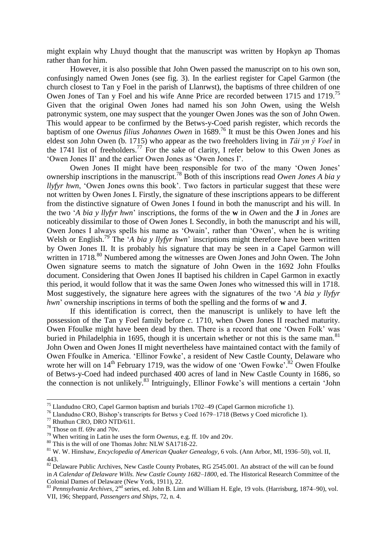might explain why Lhuyd thought that the manuscript was written by Hopkyn ap Thomas rather than for him.

However, it is also possible that John Owen passed the manuscript on to his own son, confusingly named Owen Jones (see fig. 3). In the earliest register for Capel Garmon (the church closest to Tan y Foel in the parish of Llanrwst), the baptisms of three children of one Owen Jones of Tan y Foel and his wife Anne Price are recorded between 1715 and 1719.<sup>75</sup> Given that the original Owen Jones had named his son John Owen, using the Welsh patronymic system, one may suspect that the younger Owen Jones was the son of John Owen. This would appear to be confirmed by the Betws-y-Coed parish register, which records the baptism of one *Owenus filius Johannes Owen* in 1689.<sup>76</sup> It must be this Owen Jones and his eldest son John Owen (b. 1715) who appear as the two freeholders living in *Tâi yn ŷ Voel* in the 1741 list of freeholders.<sup>77</sup> For the sake of clarity, I refer below to this Owen Jones as 'Owen Jones II' and the earlier Owen Jones as 'Owen Jones I'.

Owen Jones II might have been responsible for two of the many 'Owen Jones' ownership inscriptions in the manuscript.<sup>78</sup> Both of this inscriptions read *Owen Jones A bia y llyfyr hwn*, 'Owen Jones owns this book'. Two factors in particular suggest that these were not written by Owen Jones I. Firstly, the signature of these inscriptions appears to be different from the distinctive signature of Owen Jones I found in both the manuscript and his will. In the two '*A bia y llyfyr hwn*' inscriptions, the forms of the **w** in *Owen* and the **J** in *Jones* are noticeably dissimilar to those of Owen Jones I. Secondly, in both the manuscript and his will, Owen Jones I always spells his name as 'Owain', rather than 'Owen', when he is writing Welsh or English.<sup>79</sup> The '*A bia y llyfyr hwn*' inscriptions might therefore have been written by Owen Jones II. It is probably his signature that may be seen in a Capel Garmon will written in 1718.<sup>80</sup> Numbered among the witnesses are Owen Jones and John Owen. The John Owen signature seems to match the signature of John Owen in the 1692 John Ffoulks document. Considering that Owen Jones II baptised his children in Capel Garmon in exactly this period, it would follow that it was the same Owen Jones who witnessed this will in 1718. Most suggestively, the signature here agrees with the signatures of the two '*A bia y llyfyr hwn*' ownership inscriptions in terms of both the spelling and the forms of **w** and **J**.

If this identification is correct, then the manuscript is unlikely to have left the possession of the Tan y Foel family before *c.* 1710, when Owen Jones II reached maturity. Owen Ffoulke might have been dead by then. There is a record that one 'Owen Folk' was buried in Philadelphia in 1695, though it is uncertain whether or not this is the same man. $81$ John Owen and Owen Jones II might nevertheless have maintained contact with the family of Owen Ffoulke in America. 'Ellinor Fowke', a resident of New Castle County, Delaware who wrote her will on  $14<sup>th</sup>$  February 1719, was the widow of one 'Owen Fowke'.<sup>82</sup> Owen Ffoulke of Betws-y-Coed had indeed purchased 400 acres of land in New Castle County in 1686, so the connection is not unlikely.<sup>83</sup> Intriguingly, Ellinor Fowke's will mentions a certain 'John

<sup>75</sup> Llandudno CRO, Capel Garmon baptism and burials 1702–49 (Capel Garmon microfiche 1).

<sup>76</sup> Llandudno CRO, Bishop's transcripts for Betws y Coed 1679–1718 (Betws y Coed microfiche 1).

<sup>77</sup> Rhuthun CRO, DRO NTD/611.

<sup>78</sup> Those on ff. 69v and 70v.

<sup>79</sup> When writing in Latin he uses the form *Owenus*, e.g. ff. 10v and 20v.

<sup>80</sup> This is the will of one Thomas John: NLW SA1718-22.

<sup>81</sup> W. W. Hinshaw, *Encyclopedia of American Quaker Genealogy*, 6 vols. (Ann Arbor, MI, 1936–50), vol. II, 443.

<sup>&</sup>lt;sup>82</sup> Delaware Public Archives, New Castle County Probates, RG 2545.001. An abstract of the will can be found in *A Calendar of Delaware Wills. New Castle County 1682–1800*, ed. The Historical Research Committee of the Colonial Dames of Delaware (New York, 1911), 22.

<sup>83</sup> *Pennsylvania Archives*, 2<sup>nd</sup> series, ed. John B. Linn and William H. Egle, 19 vols. (Harrisburg, 1874–90), vol. VII, 196; Sheppard, *Passengers and Ships*, 72, n. 4.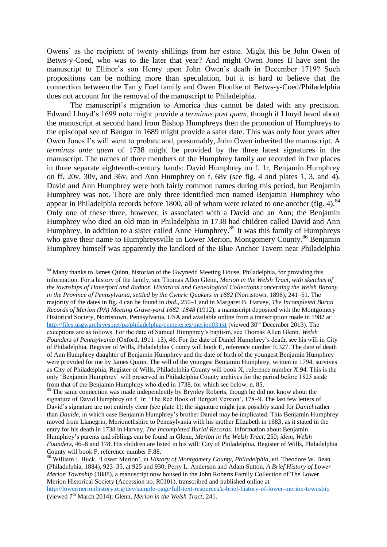Owens' as the recipient of twenty shillings from her estate. Might this be John Owen of Betws-y-Coed, who was to die later that year? And might Owen Jones II have sent the manuscript to Ellinor's son Henry upon John Owen's death in December 1719? Such propositions can be nothing more than speculation, but it is hard to believe that the connection between the Tan y Foel family and Owen Ffoulke of Betws-y-Coed/Philadelphia does not account for the removal of the manuscript to Philadelphia.

The manuscript's migration to America thus cannot be dated with any precision. Edward Lhuyd's 1699 note might provide a *terminus post quem*, though if Lhuyd heard about the manuscript at second hand from Bishop Humphreys then the promotion of Humphreys to the episcopal see of Bangor in 1689 might provide a safer date. This was only four years after Owen Jones I's will went to probate and, presumably, John Owen inherited the manuscript. A *terminus ante quem* of 1738 might be provided by the three latest signatures in the manuscript. The names of three members of the Humphrey family are recorded in five places in three separate eighteenth-century hands: David Humphrey on f. 1r, Benjamin Humphrey on ff. 20v, 30v, and 36v, and Ann Humphrey on f. 68v (see fig. 4 and plates 1, 3, and 4). David and Ann Humphrey were both fairly common names during this period, but Benjamin Humphrey was not. There are only three identified men named Benjamin Humphrey who appear in Philadelphia records before 1800, all of whom were related to one another (fig. 4).  $84$ Only one of these three, however, is associated with a David and an Ann; the Benjamin Humphrey who died an old man in Philadelphia in 1738 had children called David and Ann Humphrey, in addition to a sister called Anne Humphrey.<sup>85</sup> It was this family of Humphreys who gave their name to Humphreysville in Lower Merion, Montgomery County.<sup>86</sup> Benjamin Humphrey himself was apparently the landlord of the Blue Anchor Tavern near Philadelphia

<sup>&</sup>lt;sup>84</sup> Many thanks to James Ouinn, historian of the Gwynedd Meeting House, Philadelphia, for providing this information. For a history of the family, see Thomas Allen Glenn, *Merion in the Welsh Tract, with sketches of the townships of Haverford and Radnor. Historical and Genealogical Collections concerning the Welsh Barony in the Province of Pennsylvania, settled by the Cymric Quakers in 1682* (Norristown, 1896), 241–51. The majority of the dates in fig. 4 can be found in *ibid.*, 250–1 and in Margaret B. Harvey, *The Incompleted Burial Records of Merion (PA) Meeting Grave-yard 1682–1848* (1912), a manuscript deposited with the Montgomery Historical Society, Norristown, Pennsylvania, USA and available online from a transcription made in 1982 at <http://files.usgwarchives.net/pa/philadelphia/cemeteries/merion03.txt>(viewed  $30<sup>th</sup>$  December 2013). The exceptions are as follows. For the date of Samuel Humphrey's baptism, see Thomas Allen Glenn, *Welsh Founders of Pennsylvania* (Oxford, 1911–13), 46. For the date of Daniel Humphrey's death, see his will in City of Philadelphia, Register of Wills, Philadelphia County will book E, reference number E.327. The date of death of Ann Humphrey daughter of Benjamin Humphrey and the date of birth of the youngest Benjamin Humphrey were provided for me by James Quinn. The will of the youngest Benjamin Humphrey, written in 1794, survives as City of Philadelphia, Register of Wills, Philadelphia County will book X, reference number X.94. This is the only 'Benjamin Humphrey' will preserved in Philadelphia County archives for the period before 1825 aside from that of the Benjamin Humphrey who died in 1738, for which see below, n. 85.

<sup>&</sup>lt;sup>85</sup> The same connection was made independently by Brynley Roberts, though he did not know about the signature of David Humphrey on f. 1r: 'The Red Book of Hergest Version', 178–9. The last few letters of David's signature are not entirely clear (see plate 1); the signature might just possibly stand for *Daniel* rather than *Dauide*, in which case Benjamin Humphrey's brother Daniel may be implicated. This Benjamin Humphrey moved from Llanegrin, Merionethshire to Pennsylvania with his mother Elizabeth in 1683, as it stated in the entry for his death in 1738 in Harvey, *The Incompleted Burial Records*. Information about Benjamin Humphrey's parents and siblings can be found in Glenn, *Merion in the Welsh Tract*, 250; *idem*, *Welsh Founders*, 46–8 and 178. His children are listed in his will: City of Philadelphia, Register of Wills, Philadelphia County will book F, reference number F.88.

<sup>86</sup> William J. Buck, 'Lower Merion', in *History of Montgomery County, Philadelphia*, ed. Theodore W. Bean (Philadelphia, 1884), 923–35, at 925 and 930; Perry L. Anderson and Adam Sutton, *A Brief History of Lower Merion Township* (1888), a manuscript now housed in the John Roberts Family Collection of The Lower Merion Historical Society (Accession no. R0101), transcribed and published online at

<http://lowermerionhistory.org/dev/sample-page/full-text-resources/a-brief-history-of-lower-merion-township> (viewed 7<sup>th</sup> March 2014); Glenn, *Merion in the Welsh Tract*, 241.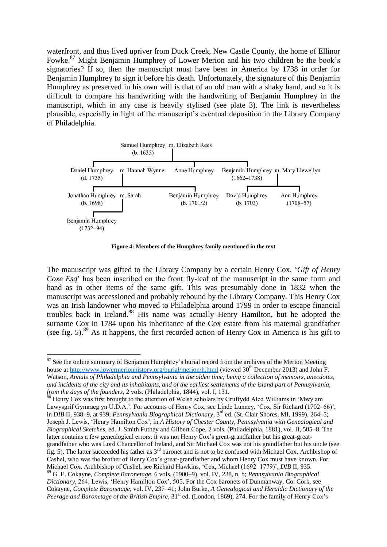waterfront, and thus lived upriver from Duck Creek, New Castle County, the home of Ellinor Fowke.<sup>87</sup> Might Benjamin Humphrey of Lower Merion and his two children be the book's signatories? If so, then the manuscript must have been in America by 1738 in order for Benjamin Humphrey to sign it before his death. Unfortunately, the signature of this Benjamin Humphrey as preserved in his own will is that of an old man with a shaky hand, and so it is difficult to compare his handwriting with the handwriting of Benjamin Humphrey in the manuscript, which in any case is heavily stylised (see plate 3). The link is nevertheless plausible, especially in light of the manuscript's eventual deposition in the Library Company of Philadelphia.



**Figure 4: Members of the Humphrey family mentioned in the text** 

The manuscript was gifted to the Library Company by a certain Henry Cox. '*Gift of Henry Coxe Esq*' has been inscribed on the front fly-leaf of the manuscript in the same form and hand as in other items of the same gift. This was presumably done in 1832 when the manuscript was accessioned and probably rebound by the Library Company. This Henry Cox was an Irish landowner who moved to Philadelphia around 1799 in order to escape financial troubles back in Ireland.<sup>88</sup> His name was actually Henry Hamilton, but he adopted the surname Cox in 1784 upon his inheritance of the Cox estate from his maternal grandfather (see fig. 5).<sup>89</sup> As it happens, the first recorded action of Henry Cox in America is his gift to

 $87$  See the online summary of Benjamin Humphrey's burial record from the archives of the Merion Meeting house at<http://www.lowermerionhistory.org/burial/merion/h.html>(viewed 30<sup>th</sup> December 2013) and John F. Watson, *Annals of Philadelphia and Pennsylvania in the olden time; being a collection of memoirs, anecdotes, and incidents of the city and its inhabitants, and of the earliest settlements of the island part of Pennsylvania, from the days of the founders*, 2 vols. (Philadelphia, 1844), vol. I, 131.

<sup>&</sup>lt;sup>88</sup> Henry Cox was first brought to the attention of Welsh scholars by Gruffydd Aled Williams in 'Mwy am Lawysgrif Gymraeg yn U.D.A.'. For accounts of Henry Cox, see Linde Lunney, 'Cox, Sir Richard (1702–66)', in *DIB* II, 938–9, at 939; *Pennsylvania Biographical Dictionary*, 3rd ed. (St. Clair Shores, MI, 1999), 264–5; Joseph J. Lewis, 'Henry Hamilton Cox', in *A History of Chester County, Pennsylvania with Genealogical and Biographical Sketches*, ed. J. Smith Futhey and Gilbert Cope, 2 vols. (Philadelphia, 1881), vol. II, 505–8. The latter contains a few genealogical errors: it was not Henry Cox's great-grandfather but his great-greatgrandfather who was Lord Chancellor of Ireland, and Sir Michael Cox was not his grandfather but his uncle (see fig. 5). The latter succeeded his father as  $3<sup>rd</sup>$  baronet and is not to be confused with Michael Cox, Archbishop of Cashel, who was the brother of Henry Cox's great-grandfather and whom Henry Cox must have known. For Michael Cox, Archbishop of Cashel, see Richard Hawkins, 'Cox, Michael (1692–1779)', *DIB* II, 935. <sup>89</sup> G. E. Cokayne, *Complete Baronetage*, 6 vols. (1900–9), vol. IV, 238, n. b; *Pennsylvania Biographical Dictionary*, 264; Lewis, 'Henry Hamilton Cox', 505. For the Cox baronets of Dunmanway, Co. Cork, see Cokayne, *Complete Baronetage*, vol. IV, 237–41; John Burke, *A Genealogical and Heraldic Dictionary of the* 

Peerage and Baronetage of the British Empire, 31<sup>st</sup> ed. (London, 1869), 274. For the family of Henry Cox's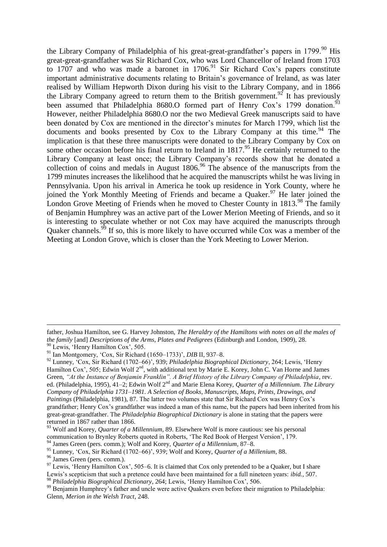the Library Company of Philadelphia of his great-great-grandfather's papers in 1799.<sup>90</sup> His great-great-grandfather was Sir Richard Cox, who was Lord Chancellor of Ireland from 1703 to 1707 and who was made a baronet in  $1706<sup>91</sup>$  Sir Richard Cox's papers constitute important administrative documents relating to Britain's governance of Ireland, as was later realised by William Hepworth Dixon during his visit to the Library Company, and in 1866 the Library Company agreed to return them to the British government.<sup>92</sup> It has previously been assumed that Philadelphia 8680. Of formed part of Henry Cox's 1799 donation.<sup>93</sup> However, neither Philadelphia 8680.O nor the two Medieval Greek manuscripts said to have been donated by Cox are mentioned in the director's minutes for March 1799, which list the documents and books presented by  $\cos$  to the Library Company at this time.<sup>94</sup> The implication is that these three manuscripts were donated to the Library Company by Cox on some other occasion before his final return to Ireland in  $1817<sup>95</sup>$  He certainly returned to the Library Company at least once; the Library Company's records show that he donated a collection of coins and medals in August  $1806$ .<sup>96</sup> The absence of the manuscripts from the 1799 minutes increases the likelihood that he acquired the manuscripts whilst he was living in Pennsylvania. Upon his arrival in America he took up residence in York County, where he joined the York Monthly Meeting of Friends and became a Quaker.<sup>97</sup> He later joined the London Grove Meeting of Friends when he moved to Chester County in 1813.<sup>98</sup> The family of Benjamin Humphrey was an active part of the Lower Merion Meeting of Friends, and so it is interesting to speculate whether or not Cox may have acquired the manuscripts through Quaker channels.<sup>99</sup> If so, this is more likely to have occurred while Cox was a member of the Meeting at London Grove, which is closer than the York Meeting to Lower Merion.

father, Joshua Hamilton, see G. Harvey Johnston, *The Heraldry of the Hamiltons with notes on all the males of the family* [and] *Descriptions of the Arms, Plates and Pedigrees* (Edinburgh and London, 1909), 28. <sup>90</sup> Lewis, 'Henry Hamilton Cox', 505.

<sup>91</sup> Ian Montgomery, 'Cox, Sir Richard (1650–1733)', *DIB* II, 937–8.

<sup>92</sup> Lunney, 'Cox, Sir Richard (1702–66)', 939; *Philadelphia Biographical Dictionary*, 264; Lewis, 'Henry Hamilton Cox', 505; Edwin Wolf 2<sup>nd</sup>, with additional text by Marie E. Korey, John C. Van Horne and James Green, *"At the Instance of Benjamin Franklin". A Brief History of the Library Company of Philadelphia*, rev. ed. (Philadelphia, 1995), 41–2; Edwin Wolf 2nd and Marie Elena Korey, *Quarter of a Millennium. The Library Company of Philadelphia 1731–1981. A Selection of Books, Manuscripts, Maps, Prints, Drawings, and Paintings* (Philadelphia, 1981), 87. The latter two volumes state that Sir Richard Cox was Henry Cox's grandfather; Henry Cox's grandfather was indeed a man of this name, but the papers had been inherited from his great-great-grandfather. The *Philadelphia Biographical Dictionary* is alone in stating that the papers were returned in 1867 rather than 1866.

<sup>93</sup> Wolf and Korey, *Quarter of a Millennium*, 89. Elsewhere Wolf is more cautious: see his personal communication to Brynley Roberts quoted in Roberts, 'The Red Book of Hergest Version', 179.

<sup>94</sup> James Green (pers. comm.); Wolf and Korey, *Quarter of a Millennium*, 87–8.

<sup>95</sup> Lunney, 'Cox, Sir Richard (1702–66)', 939; Wolf and Korey, *Quarter of a Millenium*, 88.

<sup>96</sup> James Green (pers. comm.).

 $^{97}$  Lewis, 'Henry Hamilton Cox', 505–6. It is claimed that Cox only pretended to be a Quaker, but I share Lewis's scepticism that such a pretence could have been maintained for a full nineteen years: *ibid.*, 507. <sup>98</sup> *Philadelphia Biographical Dictionary*, 264; Lewis, 'Henry Hamilton Cox', 506.

<sup>&</sup>lt;sup>99</sup> Benjamin Humphrey's father and uncle were active Quakers even before their migration to Philadelphia: Glenn, *Merion in the Welsh Tract*, 248.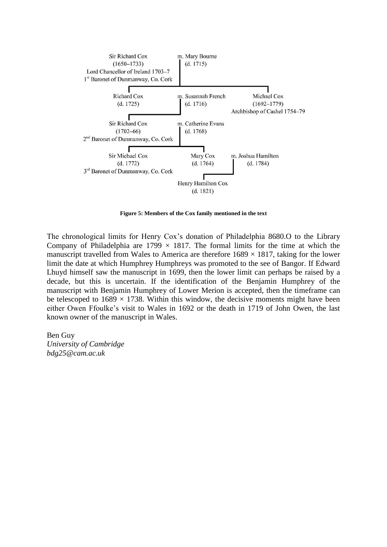

**Figure 5: Members of the Cox family mentioned in the text** 

The chronological limits for Henry Cox's donation of Philadelphia 8680.O to the Library Company of Philadelphia are  $1799 \times 1817$ . The formal limits for the time at which the manuscript travelled from Wales to America are therefore  $1689 \times 1817$ , taking for the lower limit the date at which Humphrey Humphreys was promoted to the see of Bangor. If Edward Lhuyd himself saw the manuscript in 1699, then the lower limit can perhaps be raised by a decade, but this is uncertain. If the identification of the Benjamin Humphrey of the manuscript with Benjamin Humphrey of Lower Merion is accepted, then the timeframe can be telescoped to  $1689 \times 1738$ . Within this window, the decisive moments might have been either Owen Ffoulke's visit to Wales in 1692 or the death in 1719 of John Owen, the last known owner of the manuscript in Wales.

Ben Guy *University of Cambridge bdg25@cam.ac.uk*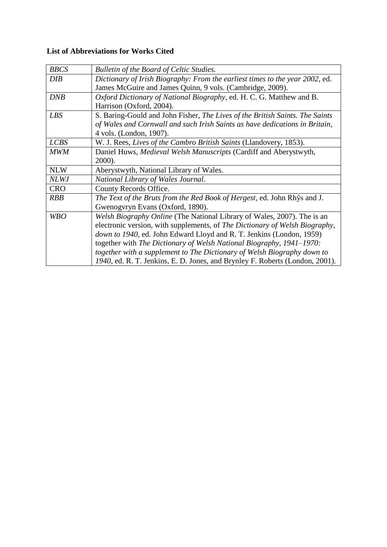# **List of Abbreviations for Works Cited**

| <b>BBCS</b> | Bulletin of the Board of Celtic Studies.                                     |
|-------------|------------------------------------------------------------------------------|
| <b>DIB</b>  | Dictionary of Irish Biography: From the earliest times to the year 2002, ed. |
|             | James McGuire and James Quinn, 9 vols. (Cambridge, 2009).                    |
| DNB         | Oxford Dictionary of National Biography, ed. H. C. G. Matthew and B.         |
|             | Harrison (Oxford, 2004).                                                     |
| <b>LBS</b>  | S. Baring-Gould and John Fisher, The Lives of the British Saints. The Saints |
|             | of Wales and Cornwall and such Irish Saints as have dedications in Britain,  |
|             | 4 vols. (London, 1907).                                                      |
| <b>LCBS</b> | W. J. Rees, Lives of the Cambro British Saints (Llandovery, 1853).           |
| <b>MWM</b>  | Daniel Huws, Medieval Welsh Manuscripts (Cardiff and Aberystwyth,            |
|             | 2000).                                                                       |
|             |                                                                              |
| <b>NLW</b>  | Aberystwyth, National Library of Wales.                                      |
| <b>NLWJ</b> | National Library of Wales Journal.                                           |
| <b>CRO</b>  | County Records Office.                                                       |
| <b>RBB</b>  | The Text of the Bruts from the Red Book of Hergest, ed. John Rhŷs and J.     |
|             | Gwenogvryn Evans (Oxford, 1890).                                             |
| <b>WBO</b>  | Welsh Biography Online (The National Library of Wales, 2007). The is an      |
|             | electronic version, with supplements, of The Dictionary of Welsh Biography,  |
|             | down to 1940, ed. John Edward Lloyd and R. T. Jenkins (London, 1959)         |
|             | together with The Dictionary of Welsh National Biography, 1941-1970:         |
|             | together with a supplement to The Dictionary of Welsh Biography down to      |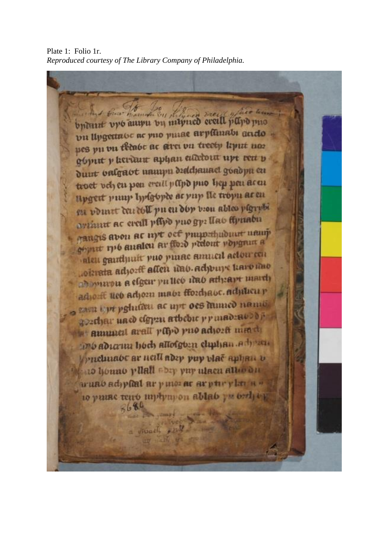Plate 1: Folio 1r. *Reproduced courtesy of The Library Company of Philadelphia.* 

britant upo auupu by myned event papo puo vu llygettabe ac puo puiae arpituabi acido pes pu vu têcabe ac sirei vu treetp liput nos góput p kardur aphan esdebett upt rett p duut valgaot unuupu diddamaci goadpu cu troet vely en pen ereill papo puo hep pen acen upgert punp lyplopee as vup lie tropn as en su vomet den doll pu en dop vion ables plgrybi aviant ac eveill pflyd yno gy: llao ffynabu paugus avon ac myt oef punpethuduut namj aleu gairthuit puo pinac amucil actourcen salen gammen allen und adjours haronno ab marou a efgeur pu lico idao athrapt march adjoift neo adjoin maor ffordiate. adjinen p zam tyr pghiam ac upt oes mimed nami gordjar naco cígyzn atbebie primadzavodi a annual arall papo puo adiosti mm di in's adiana hoch allofgoin chuhan adjusti prichuabe ar neill abry pup viae aphan v 10 houno yllall abey yuy ulacu allo du wuno adyellat ar y mozar ar pur y lar a to yuna teno mphmpon ablab yu brdy og  $3680$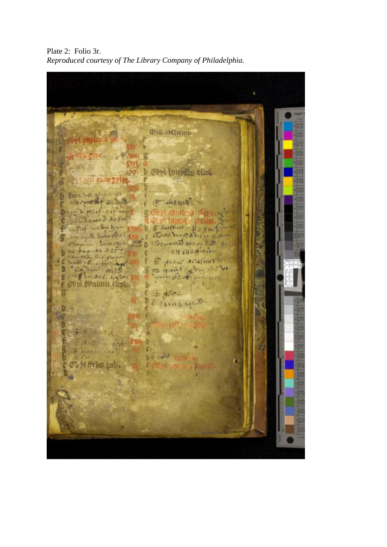Plate 2: Folio 3r. *Reproduced courtesy of The Library Company of Philadelphia.* 

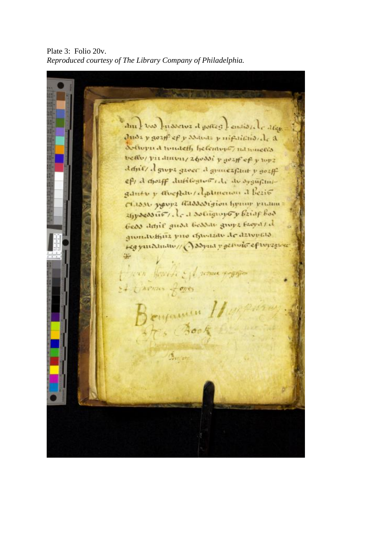Plate 3: Folio 20v. *Reproduced courtesy of The Library Company of Philadelphia.* 

am ) vos presserva d gonas ) ensiste de den duda y gozif ef y ssavaz y nifaithiorde a Solwpud wouldly helemont, intimietis beffor predinons zhoodi y gozff of y top2 danie/ d grope grove d grante funt y gozff eft d dozff dufilogive ide de sygufiniganto y avertan/algamento a lezio CLISM years allossigion hymny priame 26 poession, le a solignific y briar bod Geos danil guod Gessau groyz Ezova / d quendoffica puo chiatato de davorato regymammu/ Assymt rectivity efterses was fourth of remis region thenas of ones Benjamin Dorial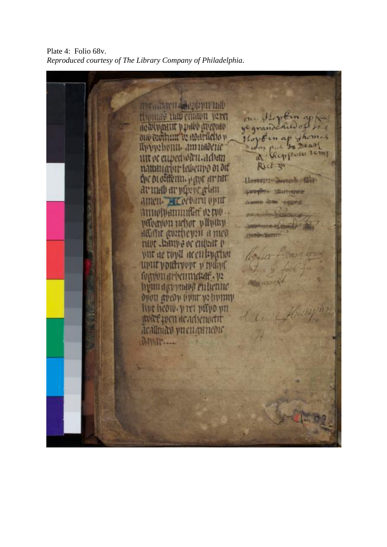Plate 4: Folio 68v. *Reproduced courtesy of The Library Company of Philadelphia.*

musicarn deployment MAGAINES LUID CHIADH ACTE yegrand HOWWARIN WORKS **U** ouversituat in adapticho v Apprehenu amnadene why put to Dear a Reppone semp oc eupedwicu.advan Rich 24 nattauarint letterapo of ort the orofiterun, pape arent Henry Jennih fin avum av påvor glan SWIMP JRITIONS атеп. не себати при 1110 WANNING 02 DVD what in the recent man Hame gortheyen a med mor temps or entent o vut ac tivil acculivation uput youtwort y traing futum arbemudaf. 12 hymracymaog enhemic буон аргов овиг уг боону ing heow, yry paro un WEE LET HE MITHATIE acallmato yn eu an nedic **GINTS**